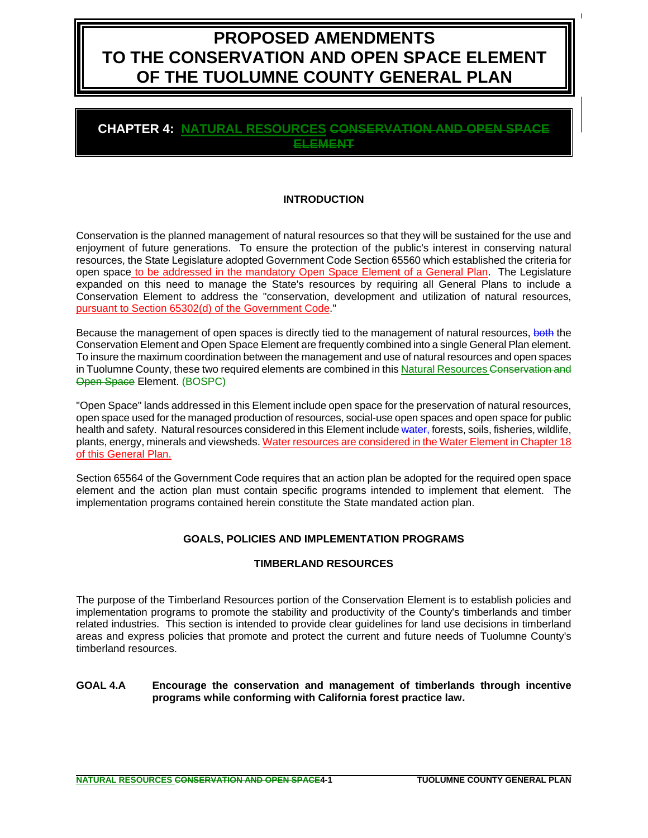# **PROPOSED AMENDMENTS TO THE CONSERVATION AND OPEN SPACE ELEMENT OF THE TUOLUMNE COUNTY GENERAL PLAN**

### **CHAPTER 4: NATURAL RESOURCES CONSERVATION AND OPEN SPACE ELEMENT**

### **INTRODUCTION**

Conservation is the planned management of natural resources so that they will be sustained for the use and enjoyment of future generations. To ensure the protection of the public's interest in conserving natural resources, the State Legislature adopted Government Code Section 65560 which established the criteria for open space to be addressed in the mandatory Open Space Element of a General Plan. The Legislature expanded on this need to manage the State's resources by requiring all General Plans to include a Conservation Element to address the "conservation, development and utilization of natural resources, pursuant to Section 65302(d) of the Government Code."

Because the management of open spaces is directly tied to the management of natural resources, both the Conservation Element and Open Space Element are frequently combined into a single General Plan element. To insure the maximum coordination between the management and use of natural resources and open spaces in Tuolumne County, these two required elements are combined in this Natural Resources Conservation and Open Space Element. (BOSPC)

"Open Space" lands addressed in this Element include open space for the preservation of natural resources, open space used for the managed production of resources, social-use open spaces and open space for public health and safety. Natural resources considered in this Element include water, forests, soils, fisheries, wildlife, plants, energy, minerals and viewsheds. Water resources are considered in the Water Element in Chapter 18 of this General Plan.

Section 65564 of the Government Code requires that an action plan be adopted for the required open space element and the action plan must contain specific programs intended to implement that element. The implementation programs contained herein constitute the State mandated action plan.

### **GOALS, POLICIES AND IMPLEMENTATION PROGRAMS**

#### **TIMBERLAND RESOURCES**

The purpose of the Timberland Resources portion of the Conservation Element is to establish policies and implementation programs to promote the stability and productivity of the County's timberlands and timber related industries. This section is intended to provide clear guidelines for land use decisions in timberland areas and express policies that promote and protect the current and future needs of Tuolumne County's timberland resources.

#### **GOAL 4.A Encourage the conservation and management of timberlands through incentive programs while conforming with California forest practice law.**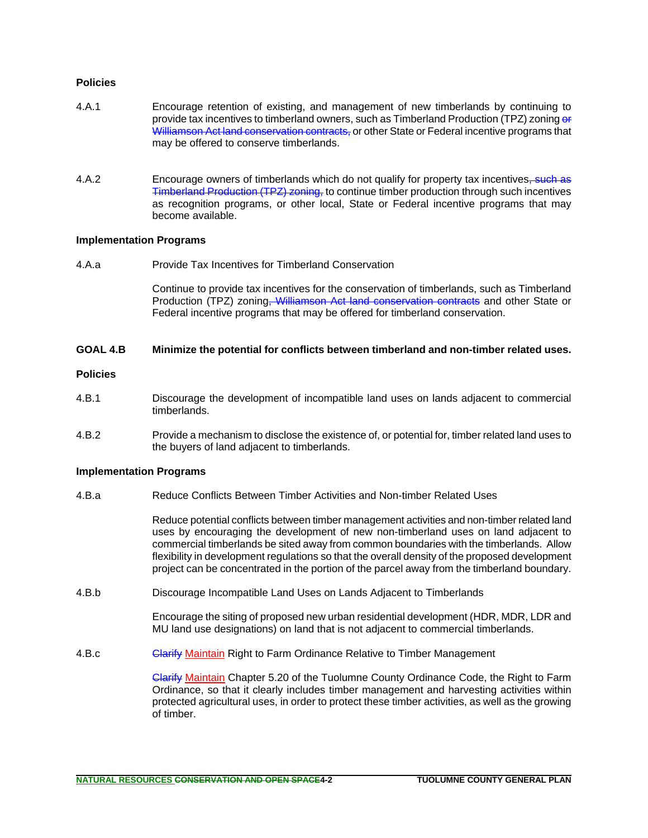#### **Policies**

- 4.A.1 Encourage retention of existing, and management of new timberlands by continuing to provide tax incentives to timberland owners, such as Timberland Production (TPZ) zoning or Williamson Act land conservation contracts, or other State or Federal incentive programs that may be offered to conserve timberlands.
- 4.A.2 **Encourage owners of timberlands which do not qualify for property tax incentives<del>, such as</del>** Timberland Production (TPZ) zoning, to continue timber production through such incentives as recognition programs, or other local, State or Federal incentive programs that may become available.

#### **Implementation Programs**

4.A.a Provide Tax Incentives for Timberland Conservation

Continue to provide tax incentives for the conservation of timberlands, such as Timberland Production (TPZ) zoning<del>, Williamson Act land conservation contracts</del> and other State or Federal incentive programs that may be offered for timberland conservation.

#### **GOAL 4.B Minimize the potential for conflicts between timberland and non-timber related uses.**

#### **Policies**

- 4.B.1 Discourage the development of incompatible land uses on lands adjacent to commercial timberlands.
- 4.B.2 Provide a mechanism to disclose the existence of, or potential for, timber related land uses to the buyers of land adjacent to timberlands.

#### **Implementation Programs**

4.B.a Reduce Conflicts Between Timber Activities and Non-timber Related Uses

Reduce potential conflicts between timber management activities and non-timber related land uses by encouraging the development of new non-timberland uses on land adjacent to commercial timberlands be sited away from common boundaries with the timberlands. Allow flexibility in development regulations so that the overall density of the proposed development project can be concentrated in the portion of the parcel away from the timberland boundary.

4.B.b Discourage Incompatible Land Uses on Lands Adjacent to Timberlands

Encourage the siting of proposed new urban residential development (HDR, MDR, LDR and MU land use designations) on land that is not adjacent to commercial timberlands.

4.B.c **Clarify Maintain Right to Farm Ordinance Relative to Timber Management** 

Clarify Maintain Chapter 5.20 of the Tuolumne County Ordinance Code, the Right to Farm Ordinance, so that it clearly includes timber management and harvesting activities within protected agricultural uses, in order to protect these timber activities, as well as the growing of timber.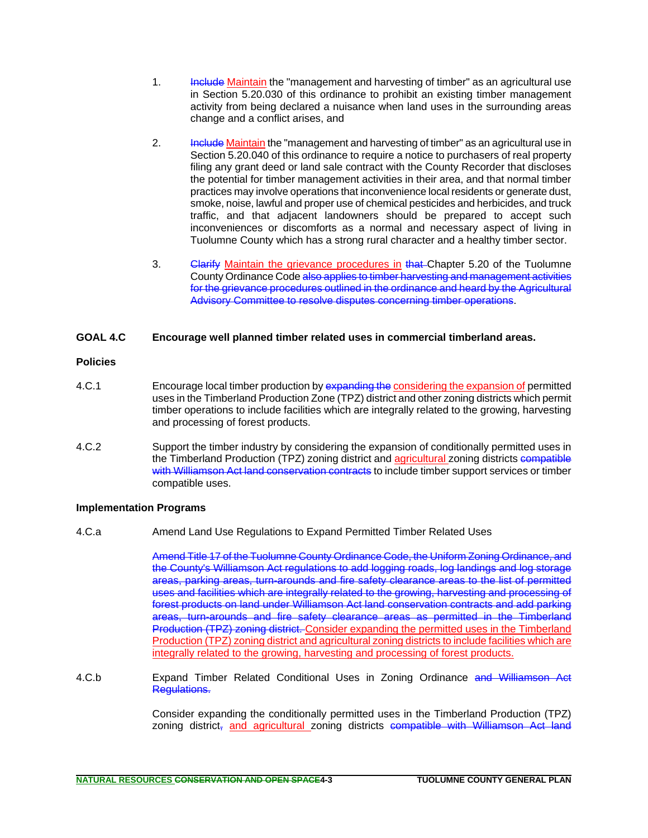- 1. **Include Maintain** the "management and harvesting of timber" as an agricultural use in Section 5.20.030 of this ordinance to prohibit an existing timber management activity from being declared a nuisance when land uses in the surrounding areas change and a conflict arises, and
- 2. **Include Maintain the "management and harvesting of timber" as an agricultural use in** Section 5.20.040 of this ordinance to require a notice to purchasers of real property filing any grant deed or land sale contract with the County Recorder that discloses the potential for timber management activities in their area, and that normal timber practices may involve operations that inconvenience local residents or generate dust, smoke, noise, lawful and proper use of chemical pesticides and herbicides, and truck traffic, and that adjacent landowners should be prepared to accept such inconveniences or discomforts as a normal and necessary aspect of living in Tuolumne County which has a strong rural character and a healthy timber sector.
- 3. Clarify Maintain the grievance procedures in that Chapter 5.20 of the Tuolumne County Ordinance Code also applies to timber harvesting and management activities for the grievance procedures outlined in the ordinance and heard by the Agricultural Advisory Committee to resolve disputes concerning timber operations.

#### **GOAL 4.C Encourage well planned timber related uses in commercial timberland areas.**

#### **Policies**

- 4.C.1 Encourage local timber production by expanding the considering the expansion of permitted uses in the Timberland Production Zone (TPZ) district and other zoning districts which permit timber operations to include facilities which are integrally related to the growing, harvesting and processing of forest products.
- 4.C.2 Support the timber industry by considering the expansion of conditionally permitted uses in the Timberland Production (TPZ) zoning district and agricultural zoning districts compatible with Williamson Act land conservation contracts to include timber support services or timber compatible uses.

#### **Implementation Programs**

4.C.a Amend Land Use Regulations to Expand Permitted Timber Related Uses

Amend Title 17 of the Tuolumne County Ordinance Code, the Uniform Zoning Ordinance, and the County's Williamson Act regulations to add logging roads, log landings and log storage areas, parking areas, turn-arounds and fire safety clearance areas to the list of permitted uses and facilities which are integrally related to the growing, harvesting and processing of forest products on land under Williamson Act land conservation contracts and add parking areas, turn-arounds and fire safety clearance areas as permitted in the Timberland Production (TPZ) zoning district. Consider expanding the permitted uses in the Timberland Production (TPZ) zoning district and agricultural zoning districts to include facilities which are integrally related to the growing, harvesting and processing of forest products.

4.C.b Expand Timber Related Conditional Uses in Zoning Ordinance and Williamson Act Regulations.

> Consider expanding the conditionally permitted uses in the Timberland Production (TPZ) zoning district, and agricultural zoning districts compatible with Williamson Act land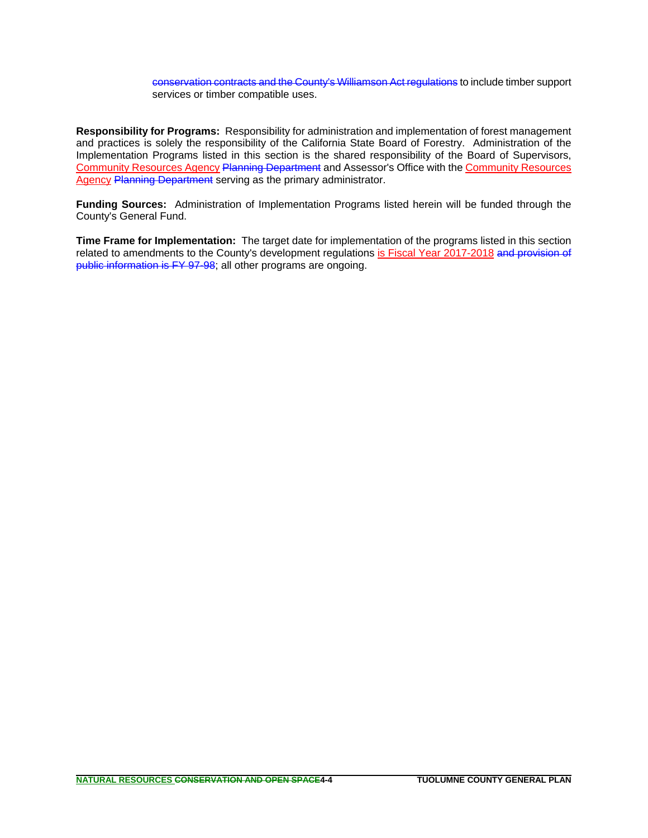conservation contracts and the County's Williamson Act regulations to include timber support services or timber compatible uses.

**Responsibility for Programs:** Responsibility for administration and implementation of forest management and practices is solely the responsibility of the California State Board of Forestry. Administration of the Implementation Programs listed in this section is the shared responsibility of the Board of Supervisors, Community Resources Agency Planning Department and Assessor's Office with the Community Resources Agency Planning Department serving as the primary administrator.

**Funding Sources:** Administration of Implementation Programs listed herein will be funded through the County's General Fund.

**Time Frame for Implementation:** The target date for implementation of the programs listed in this section related to amendments to the County's development regulations is Fiscal Year 2017-2018 and provision of public information is FY 97-98; all other programs are ongoing.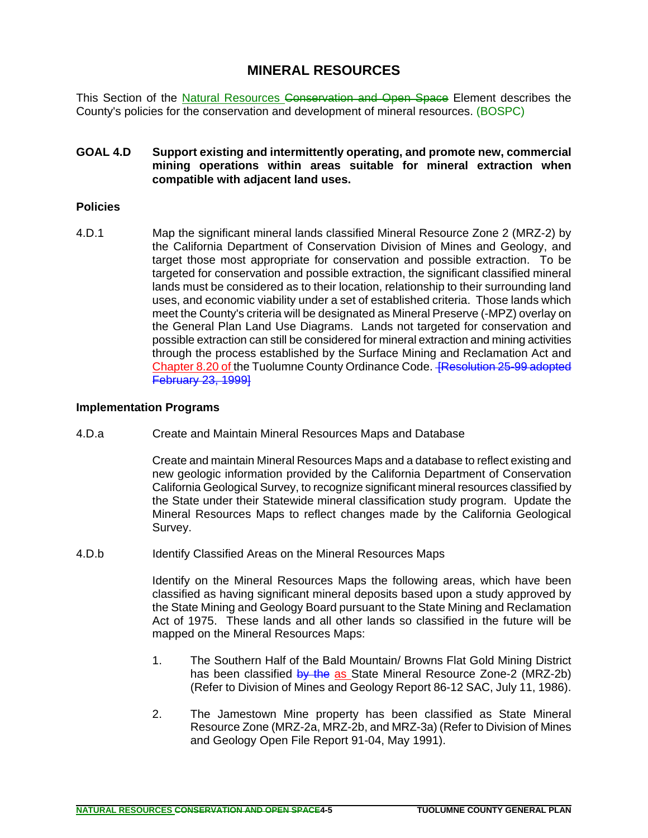# **MINERAL RESOURCES**

This Section of the Natural Resources Conservation and Open Space Element describes the County's policies for the conservation and development of mineral resources. (BOSPC)

**GOAL 4.D Support existing and intermittently operating, and promote new, commercial mining operations within areas suitable for mineral extraction when compatible with adjacent land uses.**

### **Policies**

4.D.1 Map the significant mineral lands classified Mineral Resource Zone 2 (MRZ-2) by the California Department of Conservation Division of Mines and Geology, and target those most appropriate for conservation and possible extraction. To be targeted for conservation and possible extraction, the significant classified mineral lands must be considered as to their location, relationship to their surrounding land uses, and economic viability under a set of established criteria. Those lands which meet the County's criteria will be designated as Mineral Preserve (-MPZ) overlay on the General Plan Land Use Diagrams. Lands not targeted for conservation and possible extraction can still be considered for mineral extraction and mining activities through the process established by the Surface Mining and Reclamation Act and Chapter 8.20 of the Tuolumne County Ordinance Code. **[Resolution 25-99 adopted February 23, 1999]** 

### **Implementation Programs**

4.D.a Create and Maintain Mineral Resources Maps and Database

Create and maintain Mineral Resources Maps and a database to reflect existing and new geologic information provided by the California Department of Conservation California Geological Survey, to recognize significant mineral resources classified by the State under their Statewide mineral classification study program. Update the Mineral Resources Maps to reflect changes made by the California Geological Survey.

4.D.b Identify Classified Areas on the Mineral Resources Maps

Identify on the Mineral Resources Maps the following areas, which have been classified as having significant mineral deposits based upon a study approved by the State Mining and Geology Board pursuant to the State Mining and Reclamation Act of 1975. These lands and all other lands so classified in the future will be mapped on the Mineral Resources Maps:

- 1. The Southern Half of the Bald Mountain/ Browns Flat Gold Mining District has been classified by the as State Mineral Resource Zone-2 (MRZ-2b) (Refer to Division of Mines and Geology Report 86-12 SAC, July 11, 1986).
- 2. The Jamestown Mine property has been classified as State Mineral Resource Zone (MRZ-2a, MRZ-2b, and MRZ-3a) (Refer to Division of Mines and Geology Open File Report 91-04, May 1991).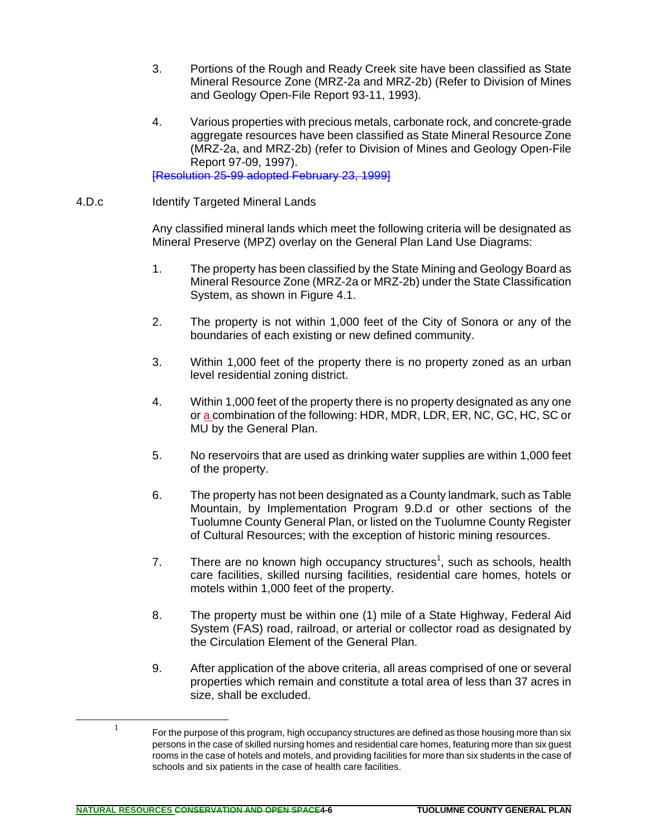- 3. Portions of the Rough and Ready Creek site have been classified as State Mineral Resource Zone (MRZ-2a and MRZ-2b) (Refer to Division of Mines and Geology Open-File Report 93-11, 1993).
- 4. Various properties with precious metals, carbonate rock, and concrete-grade aggregate resources have been classified as State Mineral Resource Zone (MRZ-2a, and MRZ-2b) (refer to Division of Mines and Geology Open-File Report 97-09, 1997).

[Resolution 25-99 adopted February 23, 1999]

4.D.c Identify Targeted Mineral Lands

Any classified mineral lands which meet the following criteria will be designated as Mineral Preserve (MPZ) overlay on the General Plan Land Use Diagrams:

- 1. The property has been classified by the State Mining and Geology Board as Mineral Resource Zone (MRZ-2a or MRZ-2b) under the State Classification System, as shown in Figure 4.1.
- 2. The property is not within 1,000 feet of the City of Sonora or any of the boundaries of each existing or new defined community.
- 3. Within 1,000 feet of the property there is no property zoned as an urban level residential zoning district.
- 4. Within 1,000 feet of the property there is no property designated as any one or a combination of the following: HDR, MDR, LDR, ER, NC, GC, HC, SC or MU by the General Plan.
- 5. No reservoirs that are used as drinking water supplies are within 1,000 feet of the property.
- 6. The property has not been designated as a County landmark, such as Table Mountain, by Implementation Program 9.D.d or other sections of the Tuolumne County General Plan, or listed on the Tuolumne County Register of Cultural Resources; with the exception of historic mining resources.
- 7. There are no known high occupancy structures<sup>1</sup>, such as schools, health care facilities, skilled nursing facilities, residential care homes, hotels or motels within 1,000 feet of the property.
- 8. The property must be within one (1) mile of a State Highway, Federal Aid System (FAS) road, railroad, or arterial or collector road as designated by the Circulation Element of the General Plan.
- 9. After application of the above criteria, all areas comprised of one or several properties which remain and constitute a total area of less than 37 acres in size, shall be excluded.

**NATURAL RESOURCES CONSERVATION AND OPEN SPACE4-6 TUOLUMNE COUNTY GENERAL PLAN**

 $1$  For the purpose of this program, high occupancy structures are defined as those housing more than six persons in the case of skilled nursing homes and residential care homes, featuring more than six guest rooms in the case of hotels and motels, and providing facilities for more than six students in the case of schools and six patients in the case of health care facilities.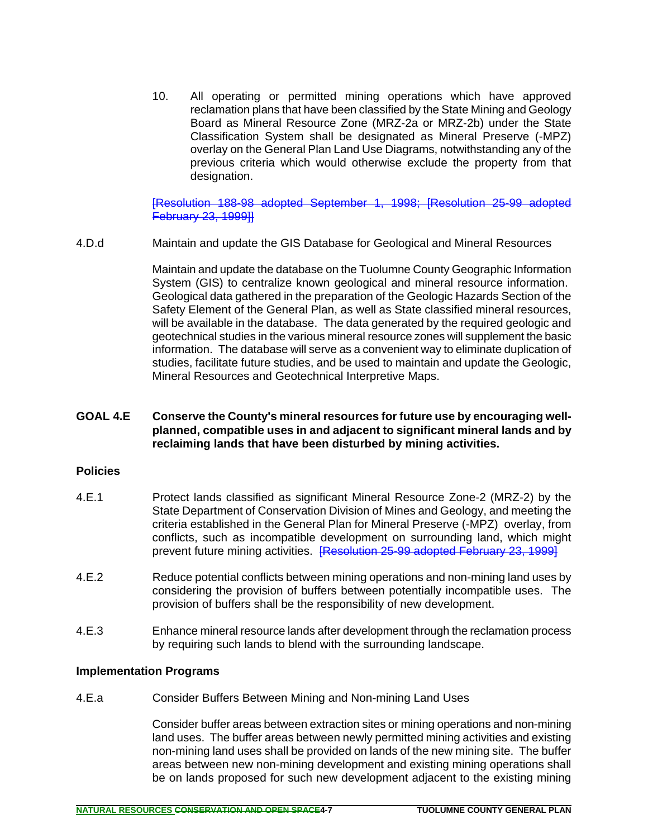10. All operating or permitted mining operations which have approved reclamation plans that have been classified by the State Mining and Geology Board as Mineral Resource Zone (MRZ-2a or MRZ-2b) under the State Classification System shall be designated as Mineral Preserve (-MPZ) overlay on the General Plan Land Use Diagrams, notwithstanding any of the previous criteria which would otherwise exclude the property from that designation.

[Resolution 188-98 adopted September 1, 1998; [Resolution 25-99 adopted February 23, 1999]]

4.D.d Maintain and update the GIS Database for Geological and Mineral Resources

Maintain and update the database on the Tuolumne County Geographic Information System (GIS) to centralize known geological and mineral resource information. Geological data gathered in the preparation of the Geologic Hazards Section of the Safety Element of the General Plan, as well as State classified mineral resources, will be available in the database. The data generated by the required geologic and geotechnical studies in the various mineral resource zones will supplement the basic information. The database will serve as a convenient way to eliminate duplication of studies, facilitate future studies, and be used to maintain and update the Geologic, Mineral Resources and Geotechnical Interpretive Maps.

### **GOAL 4.E Conserve the County's mineral resources for future use by encouraging wellplanned, compatible uses in and adjacent to significant mineral lands and by reclaiming lands that have been disturbed by mining activities.**

#### **Policies**

- 4.E.1 Protect lands classified as significant Mineral Resource Zone-2 (MRZ-2) by the State Department of Conservation Division of Mines and Geology, and meeting the criteria established in the General Plan for Mineral Preserve (-MPZ) overlay, from conflicts, such as incompatible development on surrounding land, which might prevent future mining activities. **[Resolution 25-99 adopted February 23, 1999]**
- 4.E.2 Reduce potential conflicts between mining operations and non-mining land uses by considering the provision of buffers between potentially incompatible uses. The provision of buffers shall be the responsibility of new development.
- 4.E.3 Enhance mineral resource lands after development through the reclamation process by requiring such lands to blend with the surrounding landscape.

### **Implementation Programs**

4.E.a Consider Buffers Between Mining and Non-mining Land Uses

Consider buffer areas between extraction sites or mining operations and non-mining land uses. The buffer areas between newly permitted mining activities and existing non-mining land uses shall be provided on lands of the new mining site. The buffer areas between new non-mining development and existing mining operations shall be on lands proposed for such new development adjacent to the existing mining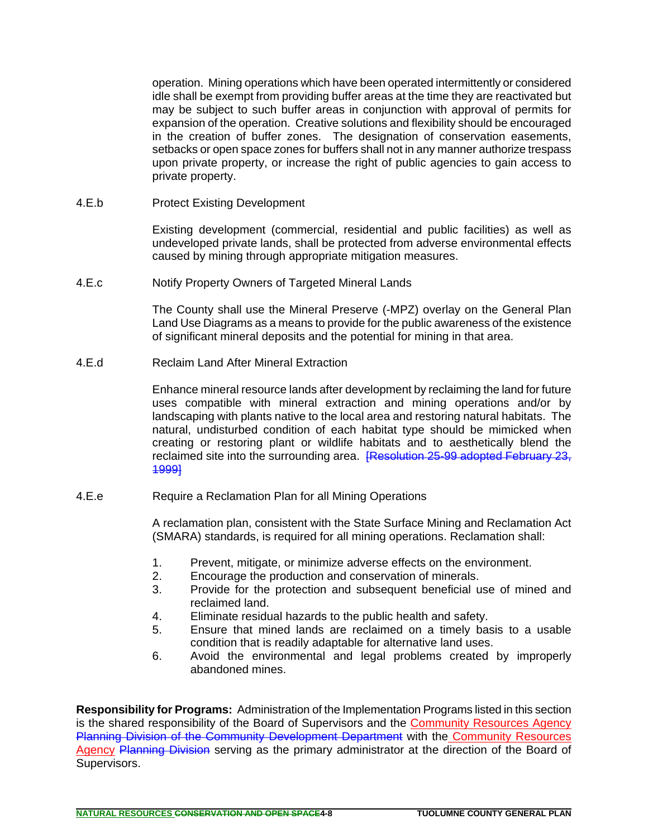operation. Mining operations which have been operated intermittently or considered idle shall be exempt from providing buffer areas at the time they are reactivated but may be subject to such buffer areas in conjunction with approval of permits for expansion of the operation. Creative solutions and flexibility should be encouraged in the creation of buffer zones. The designation of conservation easements, setbacks or open space zones for buffers shall not in any manner authorize trespass upon private property, or increase the right of public agencies to gain access to private property.

4.E.b Protect Existing Development

Existing development (commercial, residential and public facilities) as well as undeveloped private lands, shall be protected from adverse environmental effects caused by mining through appropriate mitigation measures.

4.E.c Notify Property Owners of Targeted Mineral Lands

The County shall use the Mineral Preserve (-MPZ) overlay on the General Plan Land Use Diagrams as a means to provide for the public awareness of the existence of significant mineral deposits and the potential for mining in that area.

4.E.d Reclaim Land After Mineral Extraction

Enhance mineral resource lands after development by reclaiming the land for future uses compatible with mineral extraction and mining operations and/or by landscaping with plants native to the local area and restoring natural habitats. The natural, undisturbed condition of each habitat type should be mimicked when creating or restoring plant or wildlife habitats and to aesthetically blend the reclaimed site into the surrounding area. [Resolution 25-99 adopted February 23, 1999]

4.E.e Require a Reclamation Plan for all Mining Operations

A reclamation plan, consistent with the State Surface Mining and Reclamation Act (SMARA) standards, is required for all mining operations. Reclamation shall:

- 1. Prevent, mitigate, or minimize adverse effects on the environment.
- 2. Encourage the production and conservation of minerals.
- 3. Provide for the protection and subsequent beneficial use of mined and reclaimed land.
- 4. Eliminate residual hazards to the public health and safety.
- 5. Ensure that mined lands are reclaimed on a timely basis to a usable condition that is readily adaptable for alternative land uses.
- 6. Avoid the environmental and legal problems created by improperly abandoned mines.

**Responsibility for Programs:** Administration of the Implementation Programs listed in this section is the shared responsibility of the Board of Supervisors and the Community Resources Agency Planning Division of the Community Development Department with the Community Resources Agency Planning Division serving as the primary administrator at the direction of the Board of Supervisors.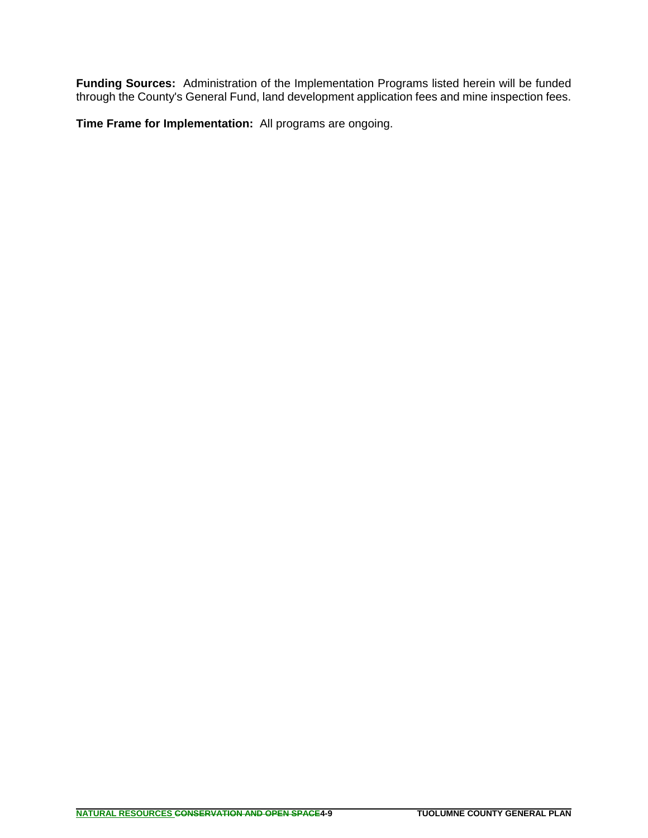**Funding Sources:** Administration of the Implementation Programs listed herein will be funded through the County's General Fund, land development application fees and mine inspection fees.

**Time Frame for Implementation:** All programs are ongoing.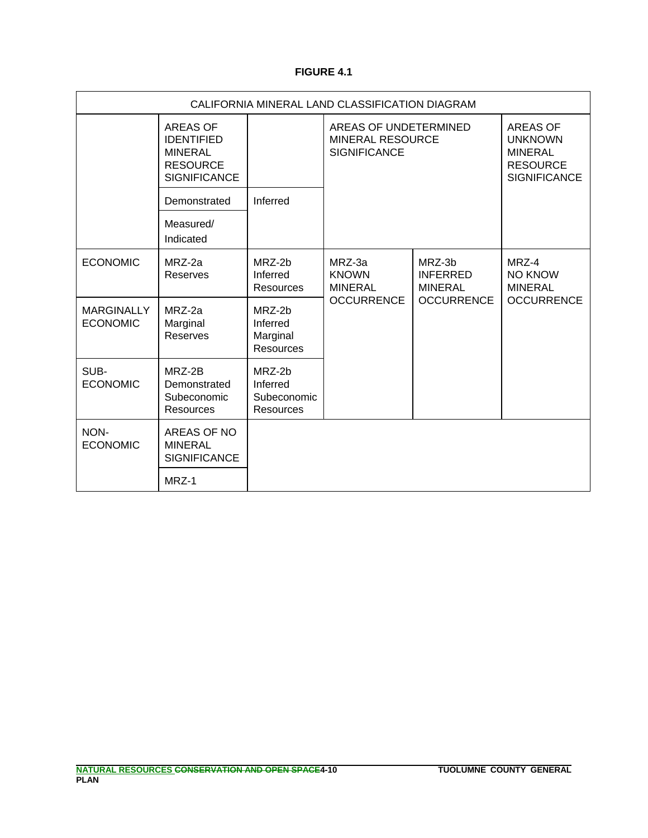### **FIGURE 4.1**

| CALIFORNIA MINERAL LAND CLASSIFICATION DIAGRAM |                                                                                                  |                                                       |                                                                         |                                             |                                                                                               |
|------------------------------------------------|--------------------------------------------------------------------------------------------------|-------------------------------------------------------|-------------------------------------------------------------------------|---------------------------------------------|-----------------------------------------------------------------------------------------------|
|                                                | <b>AREAS OF</b><br><b>IDENTIFIED</b><br><b>MINERAL</b><br><b>RESOURCE</b><br><b>SIGNIFICANCE</b> |                                                       | AREAS OF UNDETERMINED<br><b>MINERAL RESOURCE</b><br><b>SIGNIFICANCE</b> |                                             | <b>AREAS OF</b><br><b>UNKNOWN</b><br><b>MINERAL</b><br><b>RESOURCE</b><br><b>SIGNIFICANCE</b> |
|                                                | Demonstrated                                                                                     | Inferred                                              |                                                                         |                                             |                                                                                               |
|                                                | Measured/<br>Indicated                                                                           |                                                       |                                                                         |                                             |                                                                                               |
| <b>ECONOMIC</b>                                | MRZ-2a<br>Reserves                                                                               | MRZ-2b<br>Inferred<br><b>Resources</b>                | MRZ-3a<br><b>KNOWN</b><br><b>MINERAL</b>                                | MRZ-3b<br><b>INFERRED</b><br><b>MINERAL</b> | MRZ-4<br><b>NO KNOW</b><br><b>MINERAL</b>                                                     |
| <b>MARGINALLY</b><br><b>ECONOMIC</b>           | MRZ-2a<br>Marginal<br>Reserves                                                                   | $MRZ-2h$<br>Inferred<br>Marginal<br><b>Resources</b>  | <b>OCCURRENCE</b>                                                       | <b>OCCURRENCE</b>                           | <b>OCCURRENCE</b>                                                                             |
| SUB-<br><b>ECONOMIC</b>                        | MRZ-2B<br>Demonstrated<br>Subeconomic<br><b>Resources</b>                                        | MRZ-2b<br>Inferred<br>Subeconomic<br><b>Resources</b> |                                                                         |                                             |                                                                                               |
| NON-<br><b>ECONOMIC</b>                        | AREAS OF NO<br><b>MINERAL</b><br><b>SIGNIFICANCE</b>                                             |                                                       |                                                                         |                                             |                                                                                               |
|                                                | MRZ-1                                                                                            |                                                       |                                                                         |                                             |                                                                                               |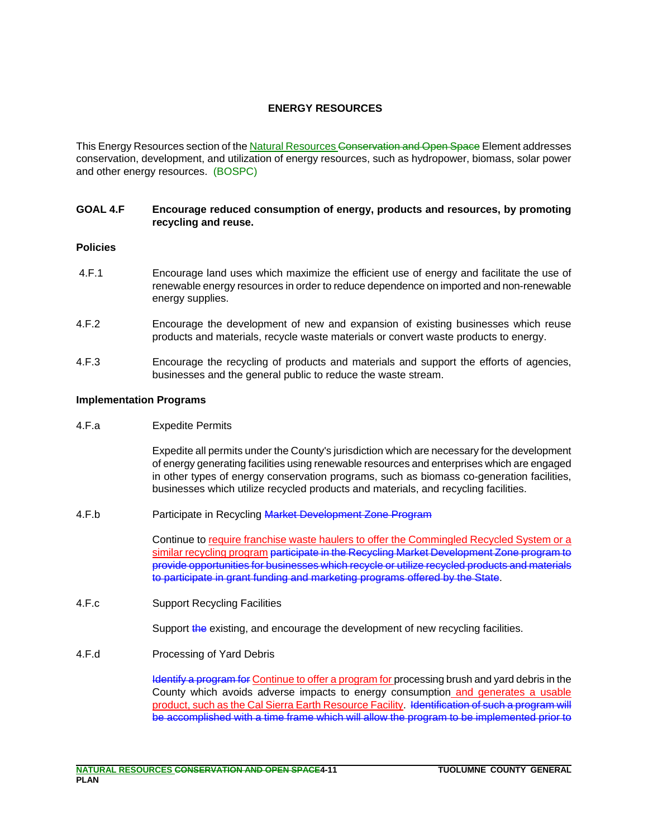### **ENERGY RESOURCES**

This Energy Resources section of the Natural Resources Conservation and Open Space Element addresses conservation, development, and utilization of energy resources, such as hydropower, biomass, solar power and other energy resources. (BOSPC)

#### **GOAL 4.F Encourage reduced consumption of energy, products and resources, by promoting recycling and reuse.**

#### **Policies**

- 4.F.1 Encourage land uses which maximize the efficient use of energy and facilitate the use of renewable energy resources in order to reduce dependence on imported and non-renewable energy supplies.
- 4.F.2 Encourage the development of new and expansion of existing businesses which reuse products and materials, recycle waste materials or convert waste products to energy.
- 4.F.3 Encourage the recycling of products and materials and support the efforts of agencies, businesses and the general public to reduce the waste stream.

#### **Implementation Programs**

4.F.a Expedite Permits

Expedite all permits under the County's jurisdiction which are necessary for the development of energy generating facilities using renewable resources and enterprises which are engaged in other types of energy conservation programs, such as biomass co-generation facilities, businesses which utilize recycled products and materials, and recycling facilities.

4.F.b Participate in Recycling Market Development Zone Program

Continue to require franchise waste haulers to offer the Commingled Recycled System or a similar recycling program <del>participate in the Recycling Market Development Zone program to</del> provide opportunities for businesses which recycle or utilize recycled products and materials to participate in grant funding and marketing programs offered by the State.

4.F.c Support Recycling Facilities

Support the existing, and encourage the development of new recycling facilities.

4.F.d Processing of Yard Debris

Identify a program for Continue to offer a program for processing brush and yard debris in the County which avoids adverse impacts to energy consumption and generates a usable product, such as the Cal Sierra Earth Resource Facility. Identification of such a program will be accomplished with a time frame which will allow the program to be implemented prior to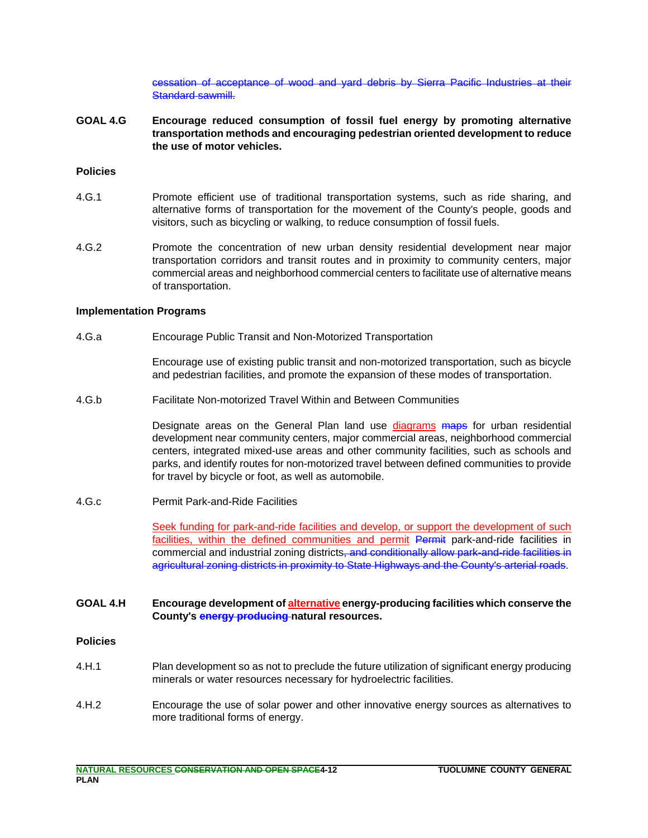cessation of acceptance of wood and yard debris by Sierra Pacific Industries at their Standard sawmill.

**GOAL 4.G Encourage reduced consumption of fossil fuel energy by promoting alternative transportation methods and encouraging pedestrian oriented development to reduce the use of motor vehicles.** 

#### **Policies**

- 4.G.1 Promote efficient use of traditional transportation systems, such as ride sharing, and alternative forms of transportation for the movement of the County's people, goods and visitors, such as bicycling or walking, to reduce consumption of fossil fuels.
- 4.G.2 Promote the concentration of new urban density residential development near major transportation corridors and transit routes and in proximity to community centers, major commercial areas and neighborhood commercial centers to facilitate use of alternative means of transportation.

#### **Implementation Programs**

4.G.a Encourage Public Transit and Non-Motorized Transportation

Encourage use of existing public transit and non-motorized transportation, such as bicycle and pedestrian facilities, and promote the expansion of these modes of transportation.

4.G.b Facilitate Non-motorized Travel Within and Between Communities

Designate areas on the General Plan land use diagrams maps for urban residential development near community centers, major commercial areas, neighborhood commercial centers, integrated mixed-use areas and other community facilities, such as schools and parks, and identify routes for non-motorized travel between defined communities to provide for travel by bicycle or foot, as well as automobile.

4.G.c Permit Park-and-Ride Facilities

Seek funding for park-and-ride facilities and develop, or support the development of such facilities, within the defined communities and permit Permit park-and-ride facilities in commercial and industrial zoning districts, and conditionally allow park-and-ride facilities in agricultural zoning districts in proximity to State Highways and the County's arterial roads.

#### **GOAL 4.H Encourage development of alternative energy-producing facilities which conserve the County's energy producing natural resources.**

#### **Policies**

- 4.H.1 Plan development so as not to preclude the future utilization of significant energy producing minerals or water resources necessary for hydroelectric facilities.
- 4.H.2 Encourage the use of solar power and other innovative energy sources as alternatives to more traditional forms of energy.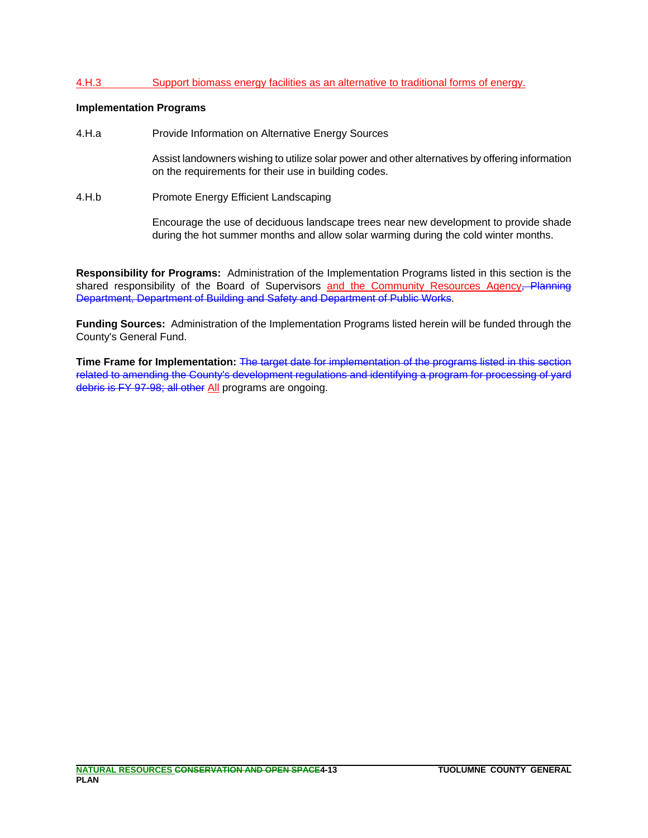#### 4.H.3 Support biomass energy facilities as an alternative to traditional forms of energy.

#### **Implementation Programs**

4.H.a Provide Information on Alternative Energy Sources

Assist landowners wishing to utilize solar power and other alternatives by offering information on the requirements for their use in building codes.

4.H.b Promote Energy Efficient Landscaping

Encourage the use of deciduous landscape trees near new development to provide shade during the hot summer months and allow solar warming during the cold winter months.

**Responsibility for Programs:** Administration of the Implementation Programs listed in this section is the shared responsibility of the Board of Supervisors and the Community Resources Agency, Planning Department, Department of Building and Safety and Department of Public Works.

**Funding Sources:** Administration of the Implementation Programs listed herein will be funded through the County's General Fund.

**Time Frame for Implementation:** The target date for implementation of the programs listed in this section related to amending the County's development regulations and identifying a program for processing of yard debris is FY 97-98; all other All programs are ongoing.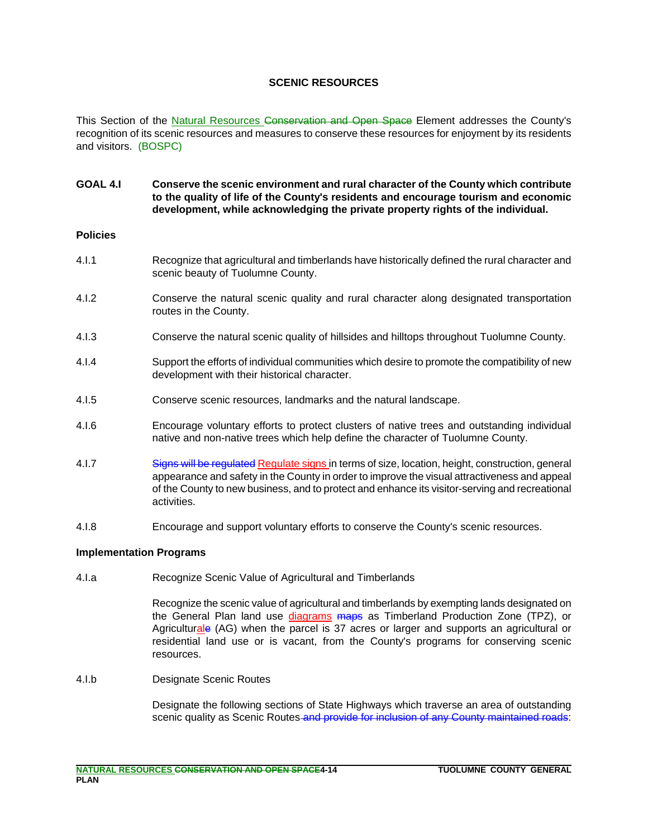#### **SCENIC RESOURCES**

This Section of the Natural Resources Conservation and Open Space Element addresses the County's recognition of its scenic resources and measures to conserve these resources for enjoyment by its residents and visitors. (BOSPC)

#### **GOAL 4.I Conserve the scenic environment and rural character of the County which contribute to the quality of life of the County's residents and encourage tourism and economic development, while acknowledging the private property rights of the individual.**

#### **Policies**

- 4.I.1 Recognize that agricultural and timberlands have historically defined the rural character and scenic beauty of Tuolumne County.
- 4.I.2 Conserve the natural scenic quality and rural character along designated transportation routes in the County.
- 4.I.3 Conserve the natural scenic quality of hillsides and hilltops throughout Tuolumne County.
- 4.I.4 Support the efforts of individual communities which desire to promote the compatibility of new development with their historical character.
- 4.I.5 Conserve scenic resources, landmarks and the natural landscape.
- 4.I.6 Encourage voluntary efforts to protect clusters of native trees and outstanding individual native and non-native trees which help define the character of Tuolumne County.
- 4.I.7 Signs will be regulated Regulate signs in terms of size, location, height, construction, general appearance and safety in the County in order to improve the visual attractiveness and appeal of the County to new business, and to protect and enhance its visitor-serving and recreational activities.
- 4.I.8 Encourage and support voluntary efforts to conserve the County's scenic resources.

### **Implementation Programs**

4.I.a Recognize Scenic Value of Agricultural and Timberlands

Recognize the scenic value of agricultural and timberlands by exempting lands designated on the General Plan land use diagrams maps as Timberland Production Zone (TPZ), or Agriculturale (AG) when the parcel is 37 acres or larger and supports an agricultural or residential land use or is vacant, from the County's programs for conserving scenic resources.

4.I.b Designate Scenic Routes

Designate the following sections of State Highways which traverse an area of outstanding scenic quality as Scenic Routes and provide for inclusion of any County maintained roads: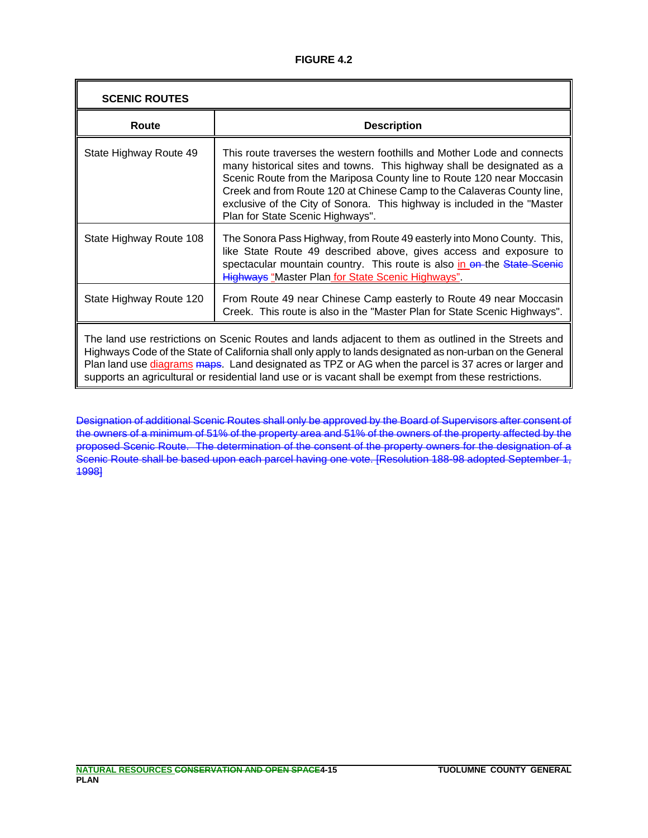### **FIGURE 4.2**

| <b>SCENIC ROUTES</b>                                                                                                                                                                                                                                                                                                                                                                                                                      |                                                                                                                                                                                                                                                                                                                                                                                                                      |
|-------------------------------------------------------------------------------------------------------------------------------------------------------------------------------------------------------------------------------------------------------------------------------------------------------------------------------------------------------------------------------------------------------------------------------------------|----------------------------------------------------------------------------------------------------------------------------------------------------------------------------------------------------------------------------------------------------------------------------------------------------------------------------------------------------------------------------------------------------------------------|
| Route                                                                                                                                                                                                                                                                                                                                                                                                                                     | <b>Description</b>                                                                                                                                                                                                                                                                                                                                                                                                   |
| State Highway Route 49                                                                                                                                                                                                                                                                                                                                                                                                                    | This route traverses the western foothills and Mother Lode and connects<br>many historical sites and towns. This highway shall be designated as a<br>Scenic Route from the Mariposa County line to Route 120 near Moccasin<br>Creek and from Route 120 at Chinese Camp to the Calaveras County line,<br>exclusive of the City of Sonora. This highway is included in the "Master<br>Plan for State Scenic Highways". |
| State Highway Route 108                                                                                                                                                                                                                                                                                                                                                                                                                   | The Sonora Pass Highway, from Route 49 easterly into Mono County. This,<br>like State Route 49 described above, gives access and exposure to<br>spectacular mountain country. This route is also in on-the State Scenic<br><b>Highways</b> "Master Plan for State Scenic Highways".                                                                                                                                  |
| State Highway Route 120                                                                                                                                                                                                                                                                                                                                                                                                                   | From Route 49 near Chinese Camp easterly to Route 49 near Moccasin<br>Creek. This route is also in the "Master Plan for State Scenic Highways".                                                                                                                                                                                                                                                                      |
| The land use restrictions on Scenic Routes and lands adjacent to them as outlined in the Streets and<br>Highways Code of the State of California shall only apply to lands designated as non-urban on the General<br>Plan land use <i>diagrams</i> maps. Land designated as TPZ or AG when the parcel is 37 acres or larger and<br>supports an agricultural or residential land use or is vacant shall be exempt from these restrictions. |                                                                                                                                                                                                                                                                                                                                                                                                                      |

Designation of additional Scenic Routes shall only be approved by the Board of Supervisors after consent of the owners of a minimum of 51% of the property area and 51% of the owners of the property affected by the proposed Scenic Route. The determination of the consent of the property owners for the designation of a Scenic Route shall be based upon each parcel having one vote. [Resolution 188-98 adopted September 1, 1998]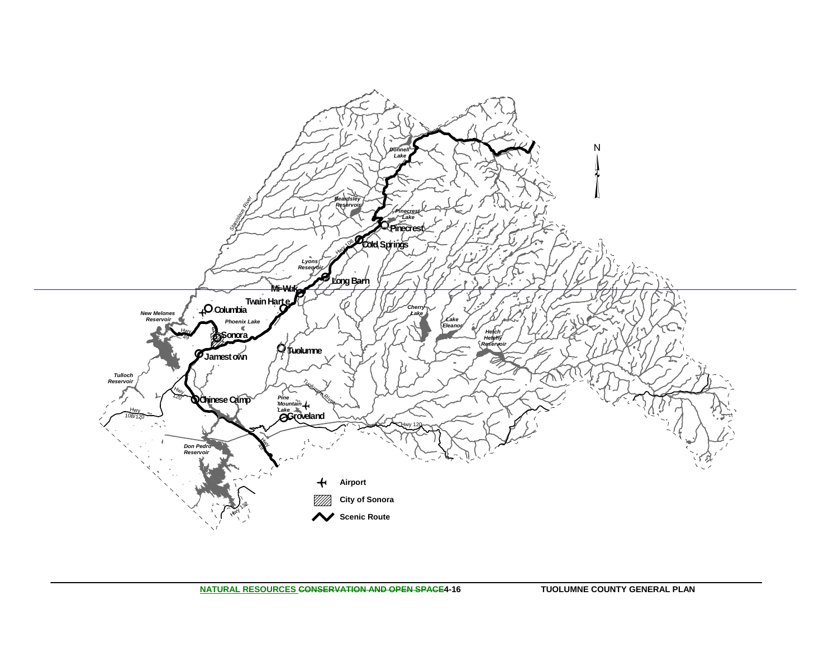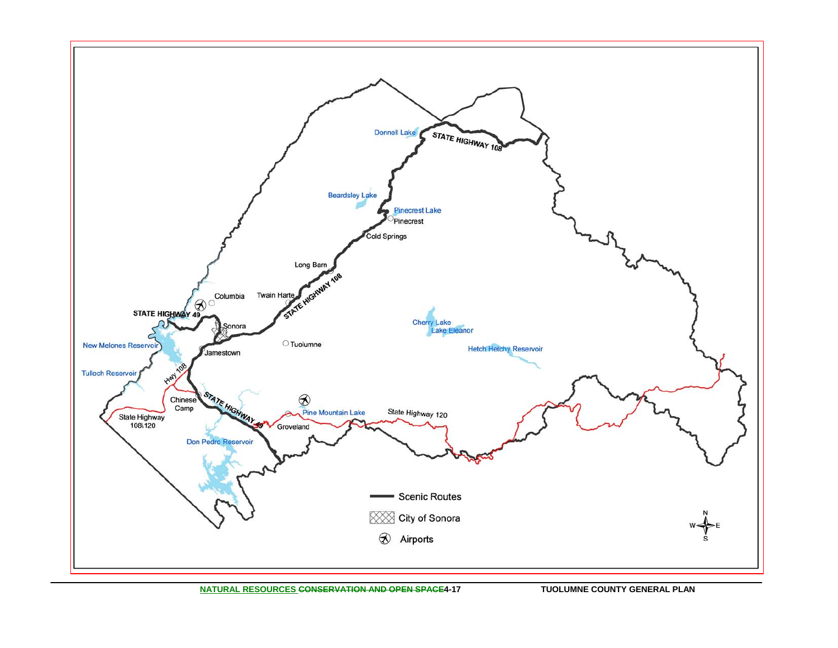

**NATURAL RESOURCES CONSERVATION AND OPEN SPACE4-17 TUOLUMNE COUNTY GENERAL PLAN**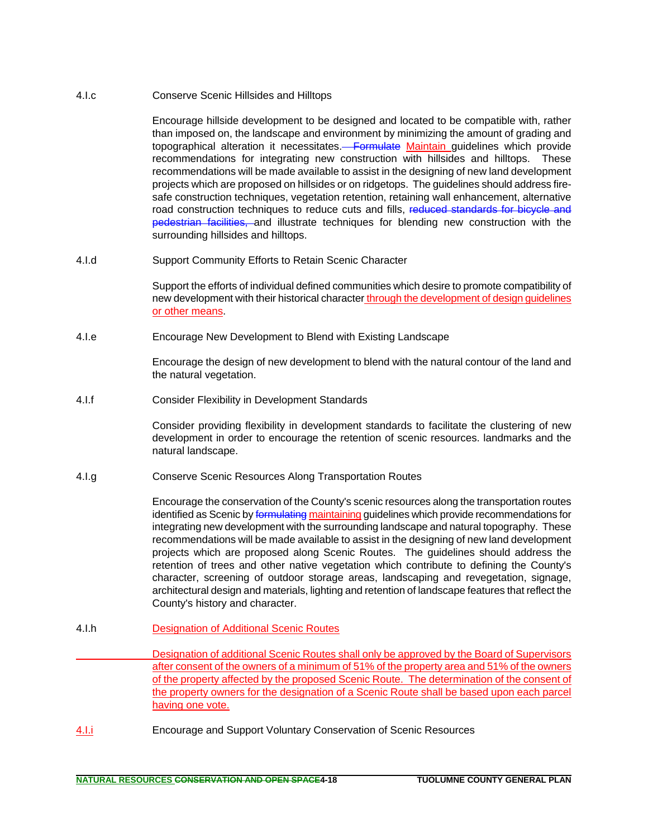4.I.c Conserve Scenic Hillsides and Hilltops

Encourage hillside development to be designed and located to be compatible with, rather than imposed on, the landscape and environment by minimizing the amount of grading and topographical alteration it necessitates.<del> Formulate</del> Maintain guidelines which provide recommendations for integrating new construction with hillsides and hilltops. These recommendations will be made available to assist in the designing of new land development projects which are proposed on hillsides or on ridgetops. The guidelines should address firesafe construction techniques, vegetation retention, retaining wall enhancement, alternative road construction techniques to reduce cuts and fills, reduced standards for bicycle and pedestrian facilities, and illustrate techniques for blending new construction with the surrounding hillsides and hilltops.

4.I.d Support Community Efforts to Retain Scenic Character

Support the efforts of individual defined communities which desire to promote compatibility of new development with their historical character through the development of design guidelines or other means.

4.I.e Encourage New Development to Blend with Existing Landscape

Encourage the design of new development to blend with the natural contour of the land and the natural vegetation.

4.I.f Consider Flexibility in Development Standards

Consider providing flexibility in development standards to facilitate the clustering of new development in order to encourage the retention of scenic resources. landmarks and the natural landscape.

4.I.g Conserve Scenic Resources Along Transportation Routes

Encourage the conservation of the County's scenic resources along the transportation routes identified as Scenic by formulating maintaining quidelines which provide recommendations for integrating new development with the surrounding landscape and natural topography. These recommendations will be made available to assist in the designing of new land development projects which are proposed along Scenic Routes. The guidelines should address the retention of trees and other native vegetation which contribute to defining the County's character, screening of outdoor storage areas, landscaping and revegetation, signage, architectural design and materials, lighting and retention of landscape features that reflect the County's history and character.

- 4.I.h Designation of Additional Scenic Routes
	- Designation of additional Scenic Routes shall only be approved by the Board of Supervisors after consent of the owners of a minimum of 51% of the property area and 51% of the owners of the property affected by the proposed Scenic Route. The determination of the consent of the property owners for the designation of a Scenic Route shall be based upon each parcel having one vote.
- 4.I.i Encourage and Support Voluntary Conservation of Scenic Resources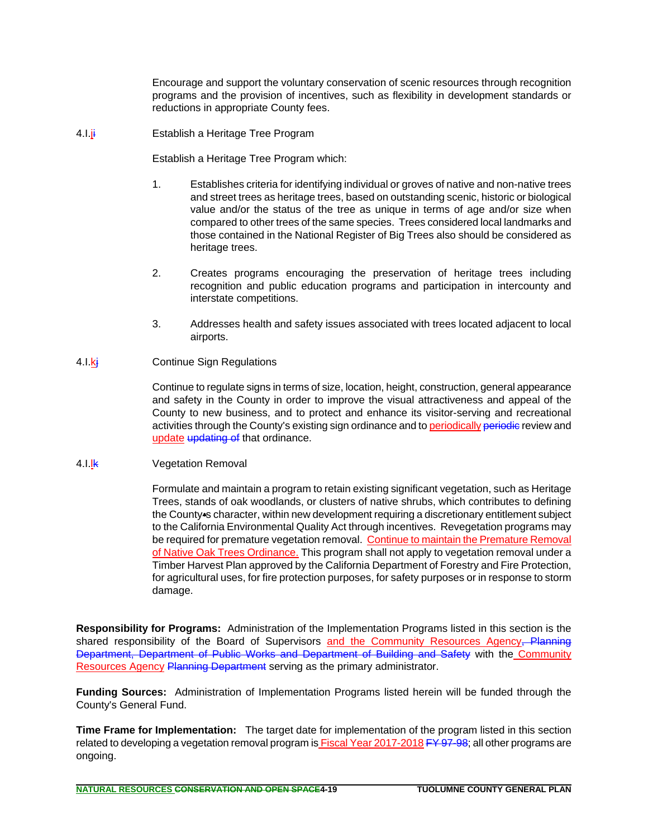Encourage and support the voluntary conservation of scenic resources through recognition programs and the provision of incentives, such as flexibility in development standards or reductions in appropriate County fees.

4.I.ji Establish a Heritage Tree Program

Establish a Heritage Tree Program which:

- 1. Establishes criteria for identifying individual or groves of native and non-native trees and street trees as heritage trees, based on outstanding scenic, historic or biological value and/or the status of the tree as unique in terms of age and/or size when compared to other trees of the same species. Trees considered local landmarks and those contained in the National Register of Big Trees also should be considered as heritage trees.
- 2. Creates programs encouraging the preservation of heritage trees including recognition and public education programs and participation in intercounty and interstate competitions.
- 3. Addresses health and safety issues associated with trees located adjacent to local airports.
- 4.I.kj Continue Sign Regulations

Continue to regulate signs in terms of size, location, height, construction, general appearance and safety in the County in order to improve the visual attractiveness and appeal of the County to new business, and to protect and enhance its visitor-serving and recreational activities through the County's existing sign ordinance and to periodically periodic review and update updating of that ordinance.

#### 4.I.**K** Vegetation Removal

Formulate and maintain a program to retain existing significant vegetation, such as Heritage Trees, stands of oak woodlands, or clusters of native shrubs, which contributes to defining the County-s character, within new development requiring a discretionary entitlement subject to the California Environmental Quality Act through incentives. Revegetation programs may be required for premature vegetation removal. Continue to maintain the Premature Removal of Native Oak Trees Ordinance. This program shall not apply to vegetation removal under a Timber Harvest Plan approved by the California Department of Forestry and Fire Protection, for agricultural uses, for fire protection purposes, for safety purposes or in response to storm damage.

**Responsibility for Programs:** Administration of the Implementation Programs listed in this section is the shared responsibility of the Board of Supervisors and the Community Resources Agency, Planning Department, Department of Public Works and Department of Building and Safety with the Community Resources Agency Planning Department serving as the primary administrator.

**Funding Sources:** Administration of Implementation Programs listed herein will be funded through the County's General Fund.

**Time Frame for Implementation:** The target date for implementation of the program listed in this section related to developing a vegetation removal program is **Fiscal Year 2017-2018 FY 97-98**; all other programs are ongoing.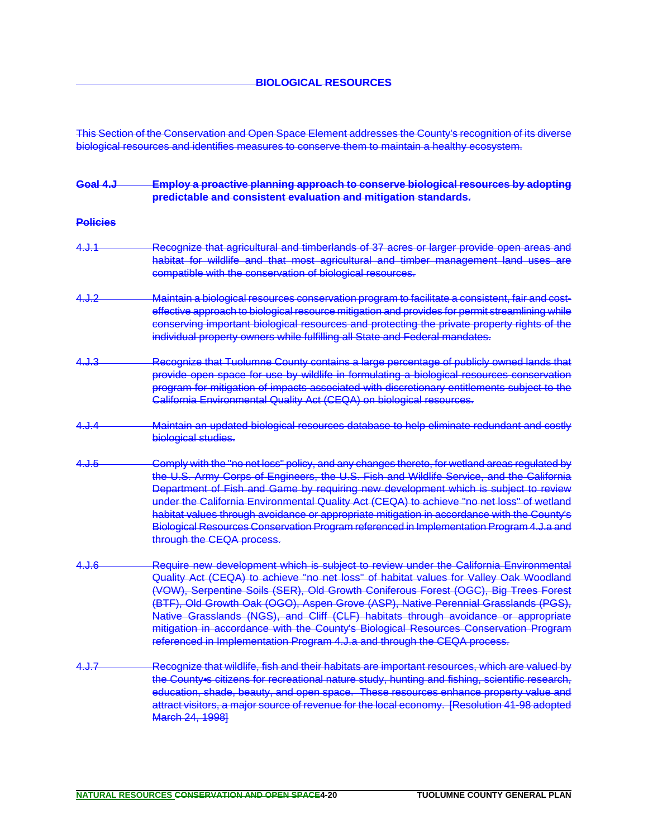This Section of the Conservation and Open Space Element addresses the County's recognition of its diverse biological resources and identifies measures to conserve them to maintain a healthy ecosystem.

## **Goal 4.J Employ a proactive planning approach to conserve biological resources by adopting predictable and consistent evaluation and mitigation standards. Policies** 4.J.1 Recognize that agricultural and timberlands of 37 acres or larger provide open areas and habitat for wildlife and that most agricultural and timber management land uses are compatible with the conservation of biological resources. 4.J.2 Maintain a biological resources conservation program to facilitate a consistent, fair and costeffective approach to biological resource mitigation and provides for permit streamlining while conserving important biological resources and protecting the private property rights of the individual property owners while fulfilling all State and Federal mandates. 4.J.3 Recognize that Tuolumne County contains a large percentage of publicly owned lands that provide open space for use by wildlife in formulating a biological resources conservation program for mitigation of impacts associated with discretionary entitlements subject to the California Environmental Quality Act (CEQA) on biological resources. 4.J.4 Maintain an updated biological resources database to help eliminate redundant and costly biological studies. 4.J.5 **Comply with the "no net loss" policy, and any changes thereto, for wetland areas regulated by** the U.S. Army Corps of Engineers, the U.S. Fish and Wildlife Service, and the California Department of Fish and Game by requiring new development which is subject to review under the California Environmental Quality Act (CEQA) to achieve "no net loss" of wetland habitat values through avoidance or appropriate mitigation in accordance with the County's Biological Resources Conservation Program referenced in Implementation Program 4.J.a and through the CEQA process. 4.J.6 **Require new development which is subject to review under the California Environmental** Quality Act (CEQA) to achieve "no net loss" of habitat values for Valley Oak Woodland (VOW), Serpentine Soils (SER), Old Growth Coniferous Forest (OGC), Big Trees Forest (BTF), Old Growth Oak (OGO), Aspen Grove (ASP), Native Perennial Grasslands (PGS), Native Grasslands (NGS), and Cliff (CLF) habitats through avoidance or appropriate mitigation in accordance with the County's Biological Resources Conservation Program referenced in Implementation Program 4.J.a and through the CEQA process. 4.J.7 Recognize that wildlife, fish and their habitats are important resources, which are valued by the County-s citizens for recreational nature study, hunting and fishing, scientific research, education, shade, beauty, and open space. These resources enhance property value and attract visitors, a major source of revenue for the local economy. [Resolution 41-98 adopted March 24, 1998]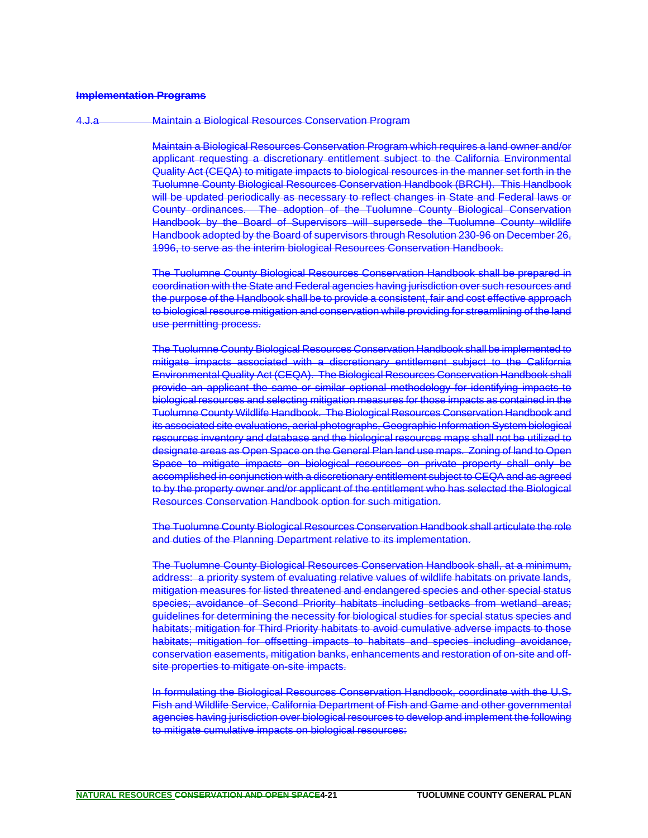#### **Implementation Programs**

#### 4.J.a Maintain a Biological Resources Conservation Program

Maintain a Biological Resources Conservation Program which requires a land owner and/or applicant requesting a discretionary entitlement subject to the California Environmental Quality Act (CEQA) to mitigate impacts to biological resources in the manner set forth in the Tuolumne County Biological Resources Conservation Handbook (BRCH). This Handbook will be updated periodically as necessary to reflect changes in State and Federal laws or County ordinances. The adoption of the Tuolumne County Biological Conservation Handbook by the Board of Supervisors will supersede the Tuolumne County wildlife Handbook adopted by the Board of supervisors through Resolution 230-96 on December 26, 1996, to serve as the interim biological Resources Conservation Handbook.

The Tuolumne County Biological Resources Conservation Handbook shall be prepared in coordination with the State and Federal agencies having jurisdiction over such resources and the purpose of the Handbook shall be to provide a consistent, fair and cost effective approach to biological resource mitigation and conservation while providing for streamlining of the land use permitting process.

The Tuolumne County Biological Resources Conservation Handbook shall be implemented to mitigate impacts associated with a discretionary entitlement subject to the California Environmental Quality Act (CEQA). The Biological Resources Conservation Handbook shall provide an applicant the same or similar optional methodology for identifying impacts to biological resources and selecting mitigation measures for those impacts as contained in the Tuolumne County Wildlife Handbook. The Biological Resources Conservation Handbook and its associated site evaluations, aerial photographs, Geographic Information System biological resources inventory and database and the biological resources maps shall not be utilized to designate areas as Open Space on the General Plan land use maps. Zoning of land to Open Space to mitigate impacts on biological resources on private property shall only be accomplished in conjunction with a discretionary entitlement subject to CEQA and as agreed to by the property owner and/or applicant of the entitlement who has selected the Biological Resources Conservation Handbook option for such mitigation.

The Tuolumne County Biological Resources Conservation Handbook shall articulate the role and duties of the Planning Department relative to its implementation.

The Tuolumne County Biological Resources Conservation Handbook shall, at a minimum, address: a priority system of evaluating relative values of wildlife habitats on private lands, mitigation measures for listed threatened and endangered species and other special status species; avoidance of Second Priority habitats including setbacks from wetland areas; guidelines for determining the necessity for biological studies for special status species and habitats; mitigation for Third Priority habitats to avoid cumulative adverse impacts to those habitats; mitigation for offsetting impacts to habitats and species including avoidance, conservation easements, mitigation banks, enhancements and restoration of on-site and offsite properties to mitigate on-site impacts.

In formulating the Biological Resources Conservation Handbook, coordinate with the U.S. Fish and Wildlife Service, California Department of Fish and Game and other governmental agencies having jurisdiction over biological resources to develop and implement the following to mitigate cumulative impacts on biological resources: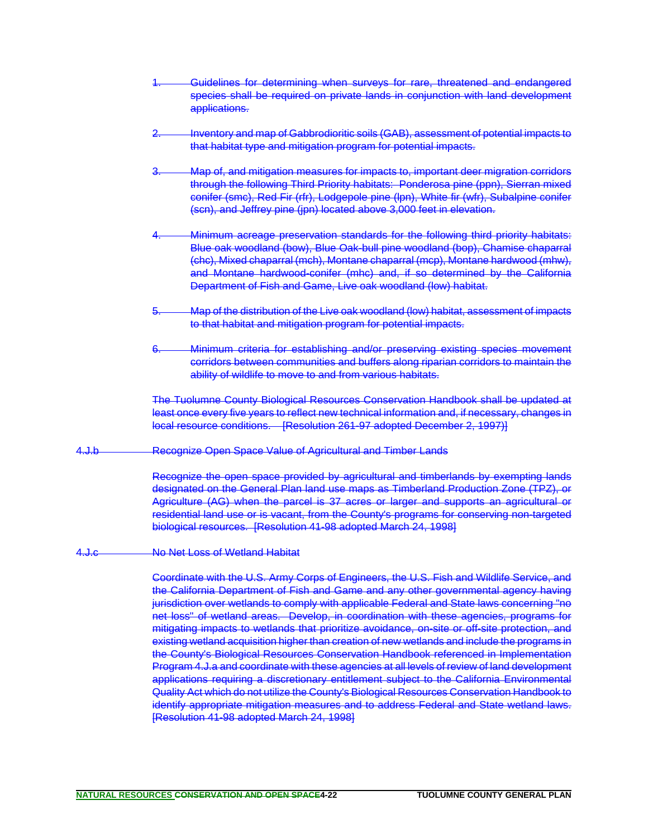- Guidelines for determining when surveys for rare, threatened and endangered species shall be required on private lands in conjunction with land development applications.
- Inventory and map of Gabbrodioritic soils (GAB), assessment of potential impacts to that habitat type and mitigation program for potential impacts.
- 3. Map of, and mitigation measures for impacts to, important deer migration corridors through the following Third Priority habitats: Ponderosa pine (ppn), Sierran mixed conifer (smc), Red Fir (rfr), Lodgepole pine (lpn), White fir (wfr), Subalpine conifer (scn), and Jeffrey pine (jpn) located above 3,000 feet in elevation.
- Minimum acreage preservation standards for the following third priority habitats: Blue oak woodland (bow), Blue Oak-bull pine woodland (bop), Chamise chaparral (chc), Mixed chaparral (mch), Montane chaparral (mcp), Montane hardwood (mhw), and Montane hardwood-conifer (mhc) and, if so determined by the California Department of Fish and Game, Live oak woodland (low) habitat.
- 5. Map of the distribution of the Live oak woodland (low) habitat, assessment of impacts to that habitat and mitigation program for potential impacts.
- 6. Minimum criteria for establishing and/or preserving existing species movement corridors between communities and buffers along riparian corridors to maintain the ability of wildlife to move to and from various habitats.

The Tuolumne County Biological Resources Conservation Handbook shall be updated at least once every five years to reflect new technical information and, if necessary, changes in local resource conditions. [Resolution 261-97 adopted December 2, 1997)]

4.J.b Recognize Open Space Value of Agricultural and Timber Lands

Recognize the open space provided by agricultural and timberlands by exempting lands designated on the General Plan land use maps as Timberland Production Zone (TPZ), or Agriculture (AG) when the parcel is 37 acres or larger and supports an agricultural or residential land use or is vacant, from the County's programs for conserving non-targeted biological resources. [Resolution 41-98 adopted March 24, 1998]

4.J.c No Net Loss of Wetland Habitat

Coordinate with the U.S. Army Corps of Engineers, the U.S. Fish and Wildlife Service, and the California Department of Fish and Game and any other governmental agency having jurisdiction over wetlands to comply with applicable Federal and State laws concerning "no net loss" of wetland areas. Develop, in coordination with these agencies, programs for mitigating impacts to wetlands that prioritize avoidance, on-site or off-site protection, and existing wetland acquisition higher than creation of new wetlands and include the programs in the County's Biological Resources Conservation Handbook referenced in Implementation Program 4.J.a and coordinate with these agencies at all levels of review of land development applications requiring a discretionary entitlement subject to the California Environmental Quality Act which do not utilize the County's Biological Resources Conservation Handbook to identify appropriate mitigation measures and to address Federal and State wetland laws. [Resolution 41-98 adopted March 24, 1998]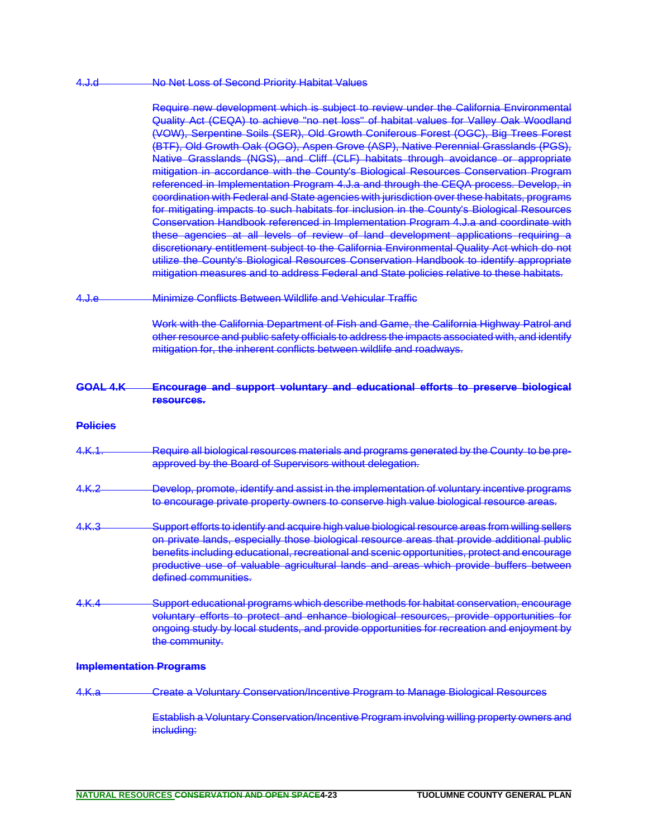#### 4.J.d No Net Loss of Second Priority Habitat Values

Require new development which is subject to review under the California Environmental Quality Act (CEQA) to achieve "no net loss" of habitat values for Valley Oak Woodland (VOW), Serpentine Soils (SER), Old Growth Coniferous Forest (OGC), Big Trees Forest (BTF), Old Growth Oak (OGO), Aspen Grove (ASP), Native Perennial Grasslands (PGS), Native Grasslands (NGS), and Cliff (CLF) habitats through avoidance or appropriate mitigation in accordance with the County's Biological Resources Conservation Program referenced in Implementation Program 4.J.a and through the CEQA process. Develop, in coordination with Federal and State agencies with jurisdiction over these habitats, programs for mitigating impacts to such habitats for inclusion in the County's Biological Resources Conservation Handbook referenced in Implementation Program 4.J.a and coordinate with these agencies at all levels of review of land development applications requiring a discretionary entitlement subject to the California Environmental Quality Act which do not utilize the County's Biological Resources Conservation Handbook to identify appropriate mitigation measures and to address Federal and State policies relative to these habitats.

4.J.e Minimize Conflicts Between Wildlife and Vehicular Traffic

Work with the California Department of Fish and Game, the California Highway Patrol and other resource and public safety officials to address the impacts associated with, and identify mitigation for, the inherent conflicts between wildlife and roadways.

**GOAL 4.K Encourage and support voluntary and educational efforts to preserve biological resources.**

#### **Policies**

- 4.K.1. Require all biological resources materials and programs generated by the County to be preapproved by the Board of Supervisors without delegation.
- 4.K.2 Develop, promote, identify and assist in the implementation of voluntary incentive programs to encourage private property owners to conserve high value biological resource areas.
- 4.K.3 Support efforts to identify and acquire high value biological resource areas from willing sellers on private lands, especially those biological resource areas that provide additional public benefits including educational, recreational and scenic opportunities, protect and encourage productive use of valuable agricultural lands and areas which provide buffers between defined communities.
- 4.K.4 Support educational programs which describe methods for habitat conservation, encourage voluntary efforts to protect and enhance biological resources, provide opportunities for ongoing study by local students, and provide opportunities for recreation and enjoyment by the community.

#### **Implementation Programs**

4.K.a Create a Voluntary Conservation/Incentive Program to Manage Biological Resources

Establish a Voluntary Conservation/Incentive Program involving willing property owners and including: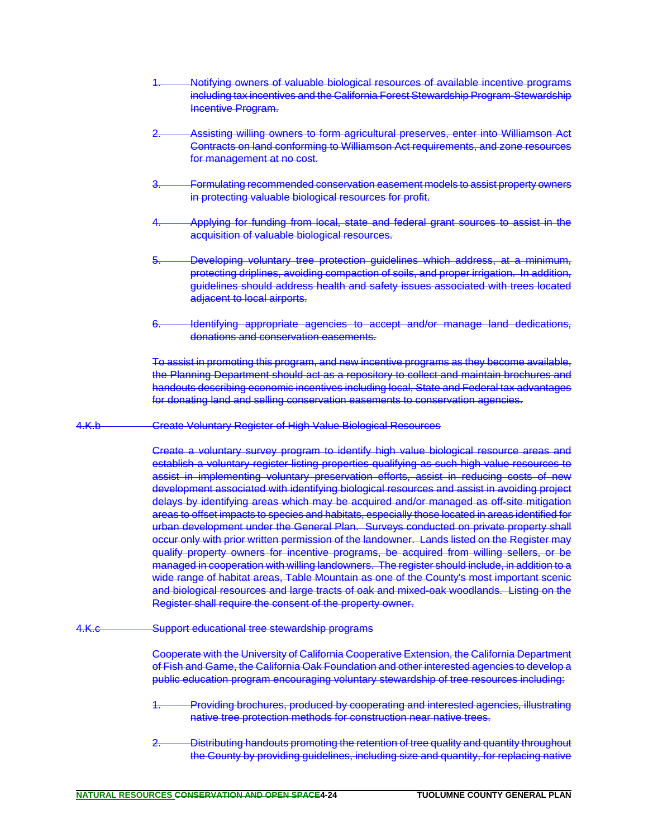- Notifying owners of valuable biological resources of available incentive programs including tax incentives and the California Forest Stewardship Program-Stewardship Incentive Program.
- Assisting willing owners to form agricultural preserves, enter into Williamson Act Contracts on land conforming to Williamson Act requirements, and zone resources for management at no cost.
- 3. Formulating recommended conservation easement models to assist property owners in protecting valuable biological resources for profit.
- 4. Applying for funding from local, state and federal grant sources to assist in the acquisition of valuable biological resources.
- 5. Developing voluntary tree protection guidelines which address, at a minimum, protecting driplines, avoiding compaction of soils, and proper irrigation. In addition, guidelines should address health and safety issues associated with trees located adjacent to local airports.
- 6. Identifying appropriate agencies to accept and/or manage land dedications, donations and conservation easements.

To assist in promoting this program, and new incentive programs as they become available, the Planning Department should act as a repository to collect and maintain brochures and handouts describing economic incentives including local, State and Federal tax advantages for donating land and selling conservation easements to conservation agencies.

4.K.b Create Voluntary Register of High Value Biological Resources

Create a voluntary survey program to identify high value biological resource areas and establish a voluntary register listing properties qualifying as such high value resources to assist in implementing voluntary preservation efforts, assist in reducing costs of new development associated with identifying biological resources and assist in avoiding project delays by identifying areas which may be acquired and/or managed as off-site mitigation areas to offset impacts to species and habitats, especially those located in areas identified for urban development under the General Plan. Surveys conducted on private property shall occur only with prior written permission of the landowner. Lands listed on the Register may qualify property owners for incentive programs, be acquired from willing sellers, or be managed in cooperation with willing landowners. The register should include, in addition to a wide range of habitat areas, Table Mountain as one of the County's most important scenic and biological resources and large tracts of oak and mixed-oak woodlands. Listing on the Register shall require the consent of the property owner.

4.K.c Support educational tree stewardship programs

Cooperate with the University of California Cooperative Extension, the California Department of Fish and Game, the California Oak Foundation and other interested agencies to develop a public education program encouraging voluntary stewardship of tree resources including:

- Providing brochures, produced by cooperating and interested agencies, illustrating native tree protection methods for construction near native trees.
- Distributing handouts promoting the retention of tree quality and quantity throughout the County by providing guidelines, including size and quantity, for replacing native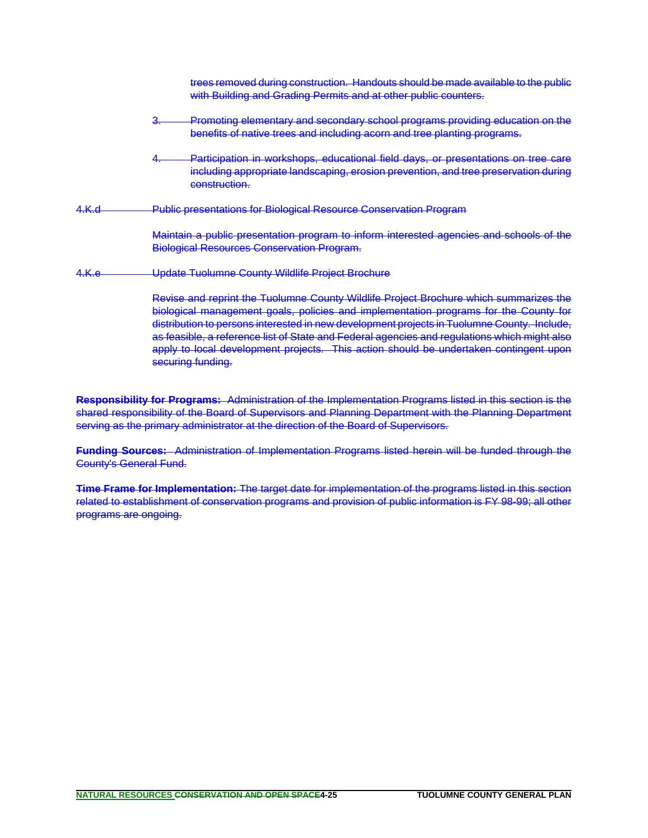|              | trees removed during construction. Handouts should be made available to the public<br>with Building and Grading Permits and at other public counters.                                                                                                                                                                                                                                                                                                                                      |
|--------------|--------------------------------------------------------------------------------------------------------------------------------------------------------------------------------------------------------------------------------------------------------------------------------------------------------------------------------------------------------------------------------------------------------------------------------------------------------------------------------------------|
|              | Promoting elementary and secondary school programs providing education on the<br><del>ó.</del><br>benefits of native trees and including acorn and tree planting programs.                                                                                                                                                                                                                                                                                                                 |
|              | Participation in workshops, educational field days, or presentations on tree care<br>including appropriate landscaping, erosion prevention, and tree preservation during<br>construction.                                                                                                                                                                                                                                                                                                  |
| 4.K.d        | <b>Public presentations for Biological Resource Conservation Program</b>                                                                                                                                                                                                                                                                                                                                                                                                                   |
|              | Maintain a public presentation program to inform interested agencies and schools of the<br><b>Biological Resources Conservation Program.</b>                                                                                                                                                                                                                                                                                                                                               |
| <u>4.К.е</u> | Update Tuolumne County Wildlife Project Brochure                                                                                                                                                                                                                                                                                                                                                                                                                                           |
|              | Revise and reprint the Tuolumne County Wildlife Project Brochure which summarizes the<br>biological management goals, policies and implementation programs for the County for<br>distribution to persons interested in new development projects in Tuolumne County. Include,<br>as feasible, a reference list of State and Federal agencies and regulations which might also<br>apply to local development projects. This action should be undertaken contingent upon<br>securing funding. |

**Responsibility for Programs:** Administration of the Implementation Programs listed in this section is the shared responsibility of the Board of Supervisors and Planning Department with the Planning Department serving as the primary administrator at the direction of the Board of Supervisors.

**Funding Sources:** Administration of Implementation Programs listed herein will be funded through the County's General Fund.

**Time Frame for Implementation:** The target date for implementation of the programs listed in this section related to establishment of conservation programs and provision of public information is FY 98-99; all other programs are ongoing.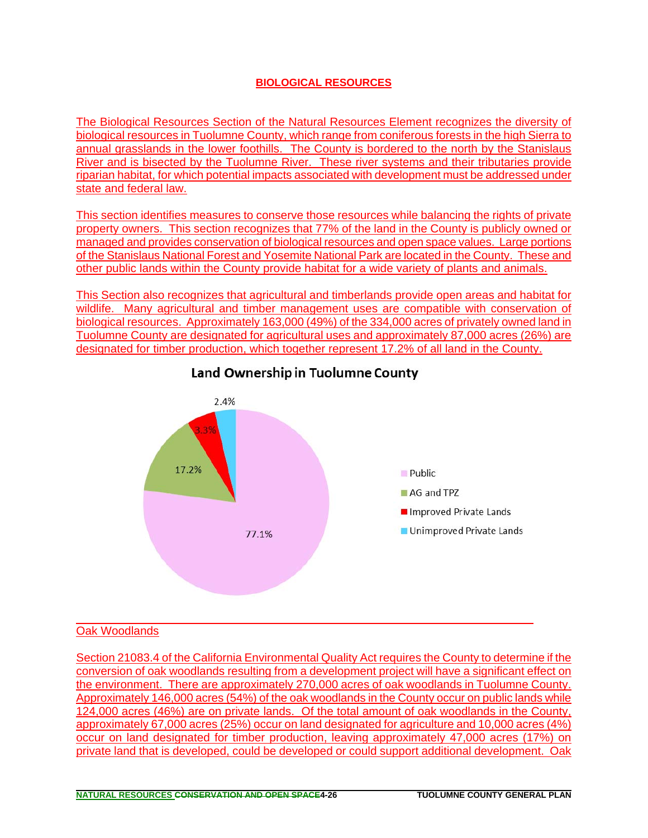### **BIOLOGICAL RESOURCES**

The Biological Resources Section of the Natural Resources Element recognizes the diversity of biological resources in Tuolumne County, which range from coniferous forests in the high Sierra to annual grasslands in the lower foothills. The County is bordered to the north by the Stanislaus River and is bisected by the Tuolumne River. These river systems and their tributaries provide riparian habitat, for which potential impacts associated with development must be addressed under state and federal law.

This section identifies measures to conserve those resources while balancing the rights of private property owners. This section recognizes that 77% of the land in the County is publicly owned or managed and provides conservation of biological resources and open space values. Large portions of the Stanislaus National Forest and Yosemite National Park are located in the County. These and other public lands within the County provide habitat for a wide variety of plants and animals.

This Section also recognizes that agricultural and timberlands provide open areas and habitat for wildlife. Many agricultural and timber management uses are compatible with conservation of biological resources. Approximately 163,000 (49%) of the 334,000 acres of privately owned land in Tuolumne County are designated for agricultural uses and approximately 87,000 acres (26%) are designated for timber production, which together represent 17.2% of all land in the County.



# Land Ownership in Tuolumne County

### Oak Woodlands

Section 21083.4 of the California Environmental Quality Act requires the County to determine if the conversion of oak woodlands resulting from a development project will have a significant effect on the environment. There are approximately 270,000 acres of oak woodlands in Tuolumne County. Approximately 146,000 acres (54%) of the oak woodlands in the County occur on public lands while 124,000 acres (46%) are on private lands. Of the total amount of oak woodlands in the County, approximately 67,000 acres (25%) occur on land designated for agriculture and 10,000 acres (4%) occur on land designated for timber production, leaving approximately 47,000 acres (17%) on private land that is developed, could be developed or could support additional development. Oak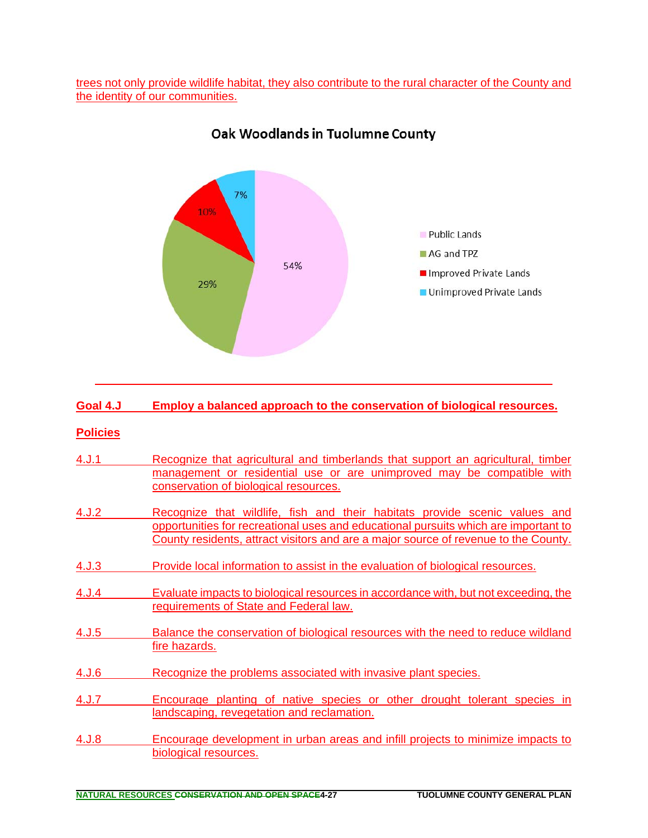trees not only provide wildlife habitat, they also contribute to the rural character of the County and the identity of our communities.



# Oak Woodlands in Tuolumne County

| Goal 4.J        | <b>Employ a balanced approach to the conservation of biological resources.</b>                                                                                                                                                                           |
|-----------------|----------------------------------------------------------------------------------------------------------------------------------------------------------------------------------------------------------------------------------------------------------|
| <b>Policies</b> |                                                                                                                                                                                                                                                          |
| 4. J.1          | Recognize that agricultural and timberlands that support an agricultural, timber<br>management or residential use or are unimproved may be compatible with<br>conservation of biological resources.                                                      |
| 4.J.2           | Recognize that wildlife, fish and their habitats provide scenic values and<br>opportunities for recreational uses and educational pursuits which are important to<br>County residents, attract visitors and are a major source of revenue to the County. |
| 4. J.3          | Provide local information to assist in the evaluation of biological resources.                                                                                                                                                                           |
| 4.J.4           | Evaluate impacts to biological resources in accordance with, but not exceeding, the<br>requirements of State and Federal law.                                                                                                                            |
| 4. J.5          | Balance the conservation of biological resources with the need to reduce wildland<br>fire hazards.                                                                                                                                                       |
| 4. J.6          | Recognize the problems associated with invasive plant species.                                                                                                                                                                                           |
| 4. J.7          | Encourage planting of native species or other drought tolerant species in<br>landscaping, revegetation and reclamation.                                                                                                                                  |
| 4.J.8           | Encourage development in urban areas and infill projects to minimize impacts to<br>biological resources.                                                                                                                                                 |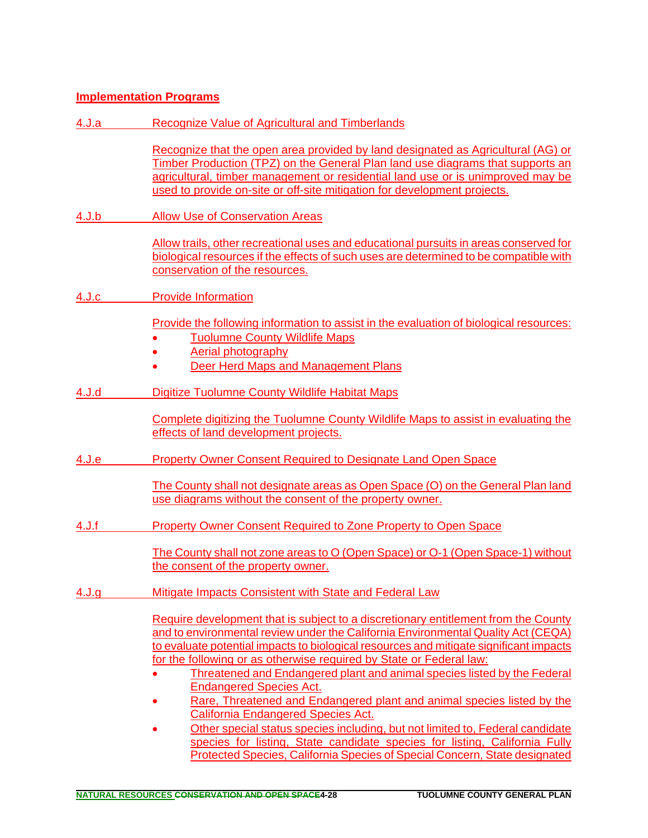### **Implementation Programs**

4.J.a Recognize Value of Agricultural and Timberlands

Recognize that the open area provided by land designated as Agricultural (AG) or Timber Production (TPZ) on the General Plan land use diagrams that supports an agricultural, timber management or residential land use or is unimproved may be used to provide on-site or off-site mitigation for development projects.

4.J.b Allow Use of Conservation Areas

Allow trails, other recreational uses and educational pursuits in areas conserved for biological resources if the effects of such uses are determined to be compatible with conservation of the resources.

4.J.c Provide Information

Provide the following information to assist in the evaluation of biological resources:

- Tuolumne County Wildlife Maps
- Aerial photography
- Deer Herd Maps and Management Plans
- 4.J.d Digitize Tuolumne County Wildlife Habitat Maps

Complete digitizing the Tuolumne County Wildlife Maps to assist in evaluating the effects of land development projects.

- 4.J.e Property Owner Consent Required to Designate Land Open Space
	- The County shall not designate areas as Open Space (O) on the General Plan land use diagrams without the consent of the property owner.
- 4.J.f Property Owner Consent Required to Zone Property to Open Space

The County shall not zone areas to O (Open Space) or O-1 (Open Space-1) without the consent of the property owner.

4.J.g Mitigate Impacts Consistent with State and Federal Law

Require development that is subject to a discretionary entitlement from the County and to environmental review under the California Environmental Quality Act (CEQA) to evaluate potential impacts to biological resources and mitigate significant impacts for the following or as otherwise required by State or Federal law:

- Threatened and Endangered plant and animal species listed by the Federal Endangered Species Act.
- Rare, Threatened and Endangered plant and animal species listed by the California Endangered Species Act.
- Other special status species including, but not limited to, Federal candidate species for listing, State candidate species for listing, California Fully Protected Species, California Species of Special Concern, State designated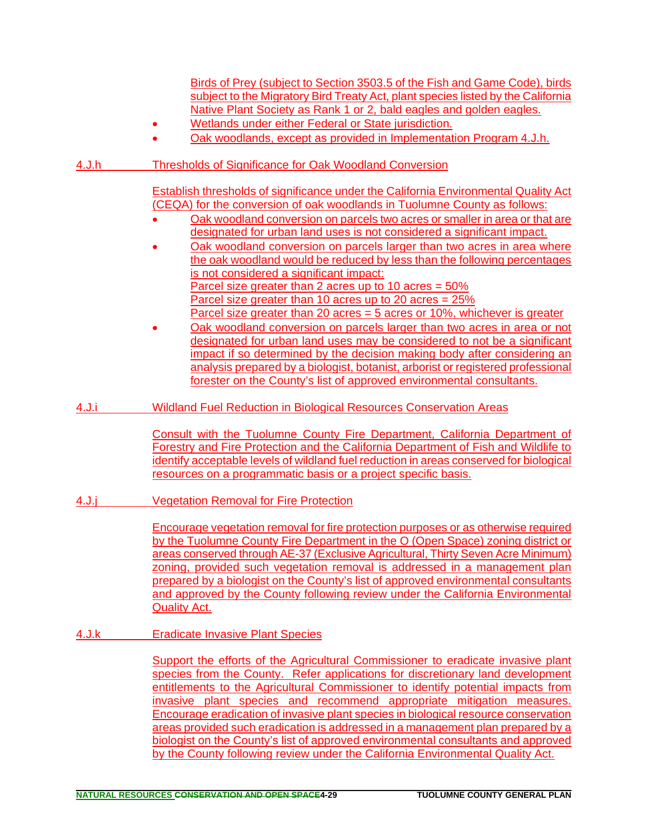|       | Birds of Prey (subject to Section 3503.5 of the Fish and Game Code), birds<br>subject to the Migratory Bird Treaty Act, plant species listed by the California<br>Native Plant Society as Rank 1 or 2, bald eagles and golden eagles.<br>Wetlands under either Federal or State jurisdiction.<br>Oak woodlands, except as provided in Implementation Program 4.J.h.                                                                                                                                                                                                                                                                                     |
|-------|---------------------------------------------------------------------------------------------------------------------------------------------------------------------------------------------------------------------------------------------------------------------------------------------------------------------------------------------------------------------------------------------------------------------------------------------------------------------------------------------------------------------------------------------------------------------------------------------------------------------------------------------------------|
| 4.J.h | <b>Thresholds of Significance for Oak Woodland Conversion</b>                                                                                                                                                                                                                                                                                                                                                                                                                                                                                                                                                                                           |
|       | <b>Establish thresholds of significance under the California Environmental Quality Act</b><br>(CEQA) for the conversion of oak woodlands in Tuolumne County as follows:<br>Oak woodland conversion on parcels two acres or smaller in area or that are<br>designated for urban land uses is not considered a significant impact.<br>Oak woodland conversion on parcels larger than two acres in area where<br>the oak woodland would be reduced by less than the following percentages<br>is not considered a significant impact:<br>Parcel size greater than 2 acres up to 10 acres = $50\%$<br>Parcel size greater than 10 acres up to 20 acres = 25% |
|       | Parcel size greater than 20 acres = 5 acres or 10%, whichever is greater<br>Oak woodland conversion on parcels larger than two acres in area or not<br>designated for urban land uses may be considered to not be a significant<br>impact if so determined by the decision making body after considering an<br>analysis prepared by a biologist, botanist, arborist or registered professional<br>forester on the County's list of approved environmental consultants.                                                                                                                                                                                  |
| 4.J.i | <b>Wildland Fuel Reduction in Biological Resources Conservation Areas</b>                                                                                                                                                                                                                                                                                                                                                                                                                                                                                                                                                                               |
|       | Consult with the Tuolumne County Fire Department, California Department of<br>Forestry and Fire Protection and the California Department of Fish and Wildlife to<br>identify acceptable levels of wildland fuel reduction in areas conserved for biological<br>resources on a programmatic basis or a project specific basis.                                                                                                                                                                                                                                                                                                                           |
| 4.J.j | <b>Vegetation Removal for Fire Protection</b>                                                                                                                                                                                                                                                                                                                                                                                                                                                                                                                                                                                                           |
|       | Encourage vegetation removal for fire protection purposes or as otherwise required<br>by the Tuolumne County Fire Department in the O (Open Space) zoning district or<br>areas conserved through AE-37 (Exclusive Agricultural, Thirty Seven Acre Minimum)<br>zoning, provided such vegetation removal is addressed in a management plan<br>prepared by a biologist on the County's list of approved environmental consultants<br>and approved by the County following review under the California Environmental<br><b>Quality Act.</b>                                                                                                                 |
| 4.J.k | <b>Eradicate Invasive Plant Species</b>                                                                                                                                                                                                                                                                                                                                                                                                                                                                                                                                                                                                                 |
|       | Support the efforts of the Agricultural Commissioner to eradicate invasive plant<br>species from the County. Refer applications for discretionary land development<br>entitlements to the Agricultural Commissioner to identify potential impacts from<br>invasive plant species and recommend appropriate mitigation measures.<br><b>Encourage eradication of invasive plant species in biological resource conservation</b><br>areas provided such eradication is addressed in a management plan prepared by a                                                                                                                                        |

biologist on the County's list of approved environmental consultants and approved by the County following review under the California Environmental Quality Act.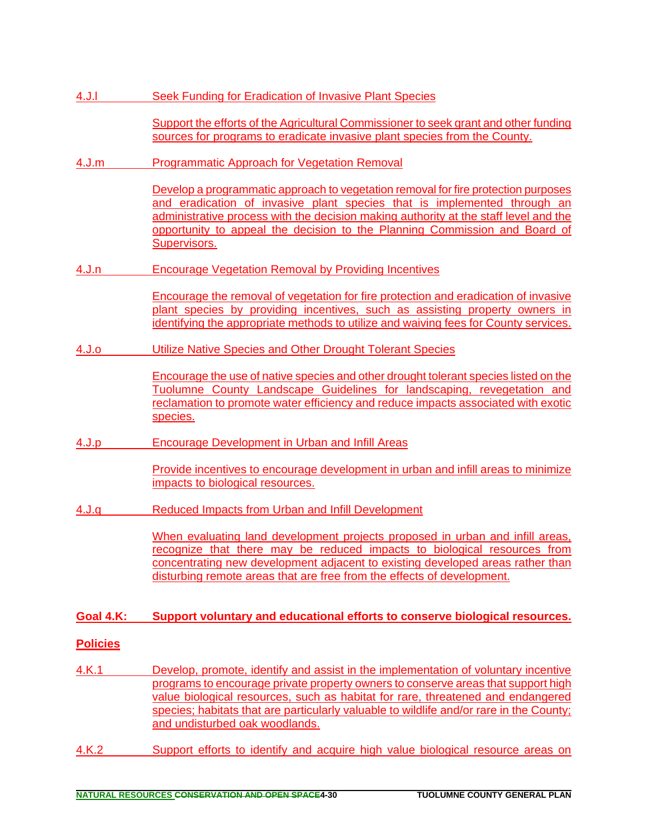| 4. J. I         | <b>Seek Funding for Eradication of Invasive Plant Species</b>                                                                                                                                                                                                                                                                                                                           |
|-----------------|-----------------------------------------------------------------------------------------------------------------------------------------------------------------------------------------------------------------------------------------------------------------------------------------------------------------------------------------------------------------------------------------|
|                 | Support the efforts of the Agricultural Commissioner to seek grant and other funding<br>sources for programs to eradicate invasive plant species from the County.                                                                                                                                                                                                                       |
| 4.J.m           | <b>Programmatic Approach for Vegetation Removal</b>                                                                                                                                                                                                                                                                                                                                     |
|                 | Develop a programmatic approach to vegetation removal for fire protection purposes<br>and eradication of invasive plant species that is implemented through an<br>administrative process with the decision making authority at the staff level and the<br>opportunity to appeal the decision to the Planning Commission and Board of<br>Supervisors.                                    |
| <u>4.J.n</u>    | <b>Encourage Vegetation Removal by Providing Incentives</b>                                                                                                                                                                                                                                                                                                                             |
|                 | Encourage the removal of vegetation for fire protection and eradication of invasive<br>plant species by providing incentives, such as assisting property owners in<br>identifying the appropriate methods to utilize and waiving fees for County services.                                                                                                                              |
| 4.J.o           | Utilize Native Species and Other Drought Tolerant Species                                                                                                                                                                                                                                                                                                                               |
|                 | Encourage the use of native species and other drought tolerant species listed on the<br>Tuolumne County Landscape Guidelines for landscaping, revegetation and<br>reclamation to promote water efficiency and reduce impacts associated with exotic<br>species.                                                                                                                         |
| 4.J.p           | <b>Encourage Development in Urban and Infill Areas</b>                                                                                                                                                                                                                                                                                                                                  |
|                 | Provide incentives to encourage development in urban and infill areas to minimize<br>impacts to biological resources.                                                                                                                                                                                                                                                                   |
| 4.J.q           | <b>Reduced Impacts from Urban and Infill Development</b>                                                                                                                                                                                                                                                                                                                                |
|                 | When evaluating land development projects proposed in urban and infill areas,<br>recognize that there may be reduced impacts to biological resources from<br>concentrating new development adjacent to existing developed areas rather than<br>disturbing remote areas that are free from the effects of development.                                                                   |
| Goal 4.K:       | Support voluntary and educational efforts to conserve biological resources.                                                                                                                                                                                                                                                                                                             |
| <b>Policies</b> |                                                                                                                                                                                                                                                                                                                                                                                         |
| <u>4.K.1</u>    | Develop, promote, identify and assist in the implementation of voluntary incentive<br>programs to encourage private property owners to conserve areas that support high<br>value biological resources, such as habitat for rare, threatened and endangered<br>species; habitats that are particularly valuable to wildlife and/or rare in the County;<br>and undisturbed oak woodlands. |
| 4.K.2           | Support efforts to identify and acquire high value biological resource areas on                                                                                                                                                                                                                                                                                                         |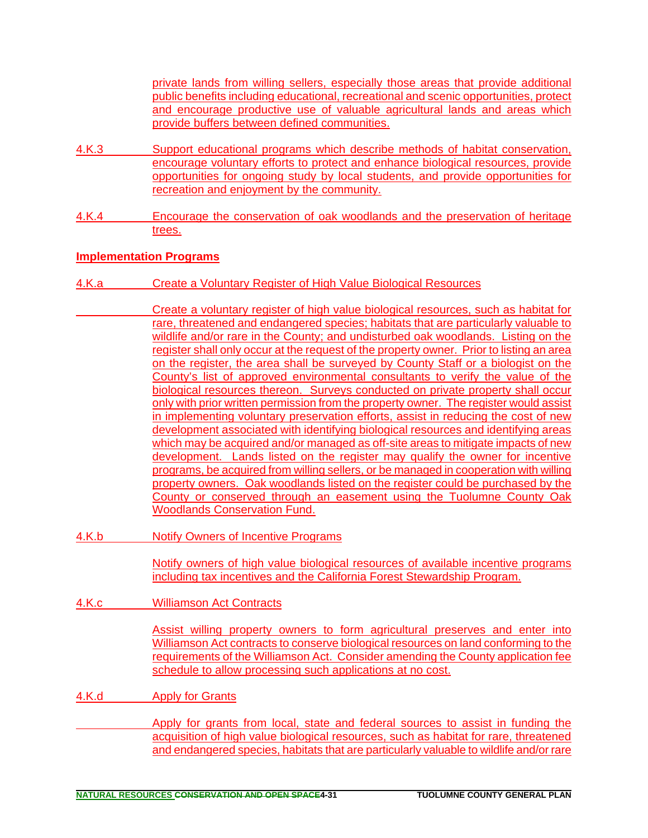private lands from willing sellers, especially those areas that provide additional public benefits including educational, recreational and scenic opportunities, protect and encourage productive use of valuable agricultural lands and areas which provide buffers between defined communities.

- 4.K.3 Support educational programs which describe methods of habitat conservation, encourage voluntary efforts to protect and enhance biological resources, provide opportunities for ongoing study by local students, and provide opportunities for recreation and enjoyment by the community.
- 4.K.4 Encourage the conservation of oak woodlands and the preservation of heritage trees.

### **Implementation Programs**

- 4.K.a Create a Voluntary Register of High Value Biological Resources
	- Create a voluntary register of high value biological resources, such as habitat for rare, threatened and endangered species; habitats that are particularly valuable to wildlife and/or rare in the County; and undisturbed oak woodlands. Listing on the register shall only occur at the request of the property owner. Prior to listing an area on the register, the area shall be surveyed by County Staff or a biologist on the County's list of approved environmental consultants to verify the value of the biological resources thereon. Surveys conducted on private property shall occur only with prior written permission from the property owner. The register would assist in implementing voluntary preservation efforts, assist in reducing the cost of new development associated with identifying biological resources and identifying areas which may be acquired and/or managed as off-site areas to mitigate impacts of new development. Lands listed on the register may qualify the owner for incentive programs, be acquired from willing sellers, or be managed in cooperation with willing property owners. Oak woodlands listed on the register could be purchased by the County or conserved through an easement using the Tuolumne County Oak Woodlands Conservation Fund.
- 4.K.b Notify Owners of Incentive Programs

Notify owners of high value biological resources of available incentive programs including tax incentives and the California Forest Stewardship Program.

4.K.c Williamson Act Contracts

Assist willing property owners to form agricultural preserves and enter into Williamson Act contracts to conserve biological resources on land conforming to the requirements of the Williamson Act. Consider amending the County application fee schedule to allow processing such applications at no cost.

4.K.d Apply for Grants

 Apply for grants from local, state and federal sources to assist in funding the acquisition of high value biological resources, such as habitat for rare, threatened and endangered species, habitats that are particularly valuable to wildlife and/or rare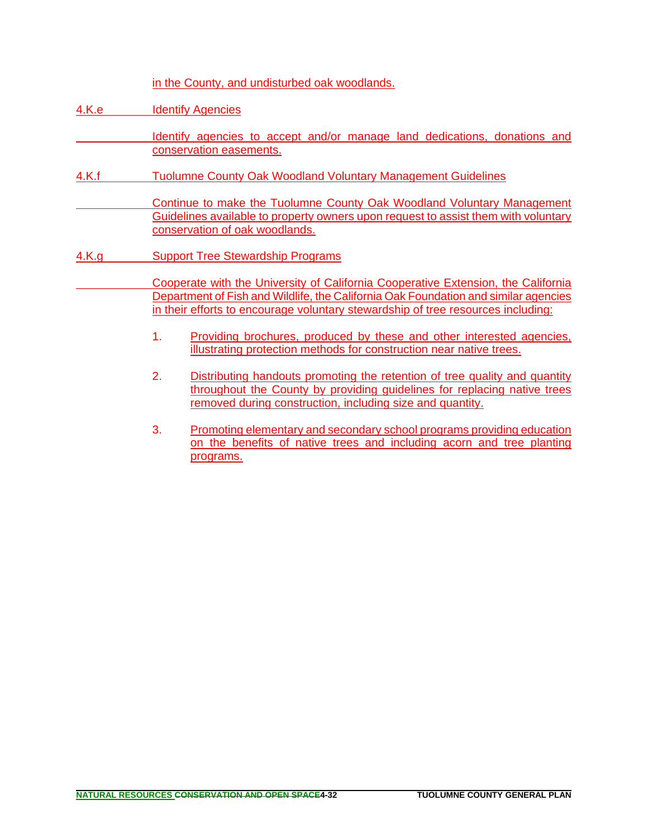in the County, and undisturbed oak woodlands.

4.K.e Identify Agencies

 Identify agencies to accept and/or manage land dedications, donations and conservation easements.

- 4.K.f Tuolumne County Oak Woodland Voluntary Management Guidelines
	- Continue to make the Tuolumne County Oak Woodland Voluntary Management Guidelines available to property owners upon request to assist them with voluntary conservation of oak woodlands.
- 4.K.g Support Tree Stewardship Programs
	- Cooperate with the University of California Cooperative Extension, the California Department of Fish and Wildlife, the California Oak Foundation and similar agencies in their efforts to encourage voluntary stewardship of tree resources including:
		- 1. Providing brochures, produced by these and other interested agencies, illustrating protection methods for construction near native trees.
		- 2. Distributing handouts promoting the retention of tree quality and quantity throughout the County by providing guidelines for replacing native trees removed during construction, including size and quantity.
		- 3. Promoting elementary and secondary school programs providing education on the benefits of native trees and including acorn and tree planting programs.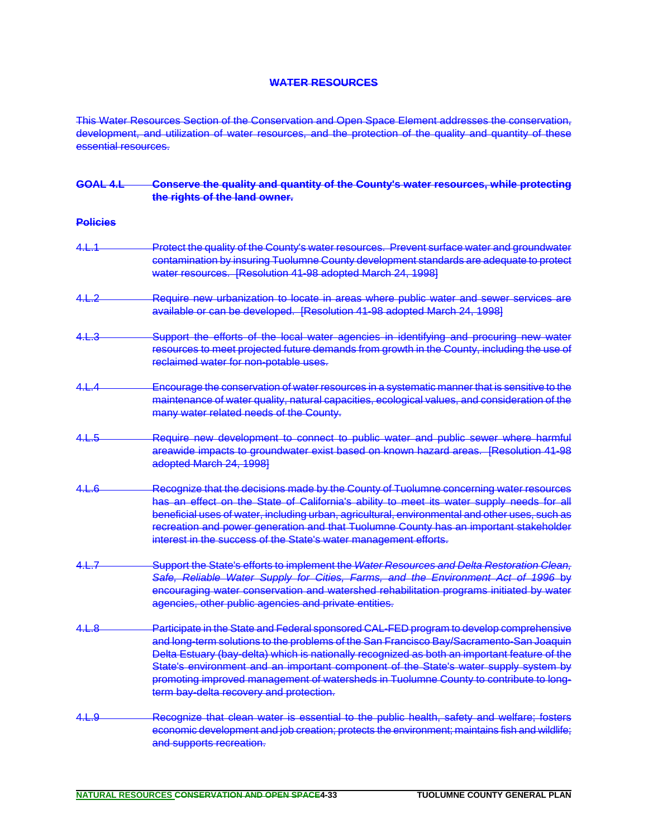#### **WATER RESOURCES**

This Water Resources Section of the Conservation and Open Space Element addresses the conservation, development, and utilization of water resources, and the protection of the quality and quantity of these essential resources.

| <b>GOAL 4.L</b>  | Conserve the quality and quantity of the County's water resources, while protecting<br>the rights of the land owner.                                                                                                                                                                                                                                                                                                                                                                                           |
|------------------|----------------------------------------------------------------------------------------------------------------------------------------------------------------------------------------------------------------------------------------------------------------------------------------------------------------------------------------------------------------------------------------------------------------------------------------------------------------------------------------------------------------|
| <b>Policies</b>  |                                                                                                                                                                                                                                                                                                                                                                                                                                                                                                                |
| 4.L.1            | Protect the quality of the County's water resources. Prevent surface water and groundwater<br>contamination by insuring Tuolumne County development standards are adequate to protect<br>water resources. [Resolution 41-98 adopted March 24, 1998]                                                                                                                                                                                                                                                            |
| <u>4.L.2</u>     | Require new urbanization to locate in areas where public water and sewer services are<br>available or can be developed. [Resolution 41-98 adopted March 24, 1998]                                                                                                                                                                                                                                                                                                                                              |
| <del>4.L.3</del> | Support the efforts of the local water agencies in identifying and procuring new water<br>resources to meet projected future demands from growth in the County, including the use of<br>reclaimed water for non-potable uses.                                                                                                                                                                                                                                                                                  |
| <u>4.L.4</u>     | Encourage the conservation of water resources in a systematic manner that is sensitive to the<br>maintenance of water quality, natural capacities, ecological values, and consideration of the<br>many water related needs of the County.                                                                                                                                                                                                                                                                      |
| <u>4.L.5</u>     | Require new development to connect to public water and public sewer where harmful<br>areawide impacts to groundwater exist based on known hazard areas. [Resolution 41-98<br>adopted March 24, 1998]                                                                                                                                                                                                                                                                                                           |
| <u>4.L.6</u>     | Recognize that the decisions made by the County of Tuolumne concerning water resources<br>has an effect on the State of California's ability to meet its water supply needs for all<br>beneficial uses of water, including urban, agricultural, environmental and other uses, such as<br>recreation and power generation and that Tuolumne County has an important stakeholder<br>interest in the success of the State's water management efforts.                                                             |
| 4.L.7            | Support the State's efforts to implement the Water Resources and Delta Restoration Clean,<br>Safe, Reliable Water Supply for Cities, Farms, and the Environment Act of 1996 by<br>encouraging water conservation and watershed rehabilitation programs initiated by water<br>agencies, other public agencies and private entities.                                                                                                                                                                             |
| <u>4.L.8</u>     | Participate in the State and Federal sponsored CAL-FED program to develop comprehensive<br>and long-term solutions to the problems of the San Francisco Bay/Sacramento-San Joaquin<br>Delta Estuary (bay-delta) which is nationally recognized as both an important feature of the<br>State's environment and an important component of the State's water supply system by<br>promoting improved management of watersheds in Tuolumne County to contribute to long-<br>term bay-delta recovery and protection. |
| 4.L.9            | Recognize that clean water is essential to the public health, safety and welfare; fosters<br>economic development and job creation; protects the environment; maintains fish and wildlife;<br>and supports recreation.                                                                                                                                                                                                                                                                                         |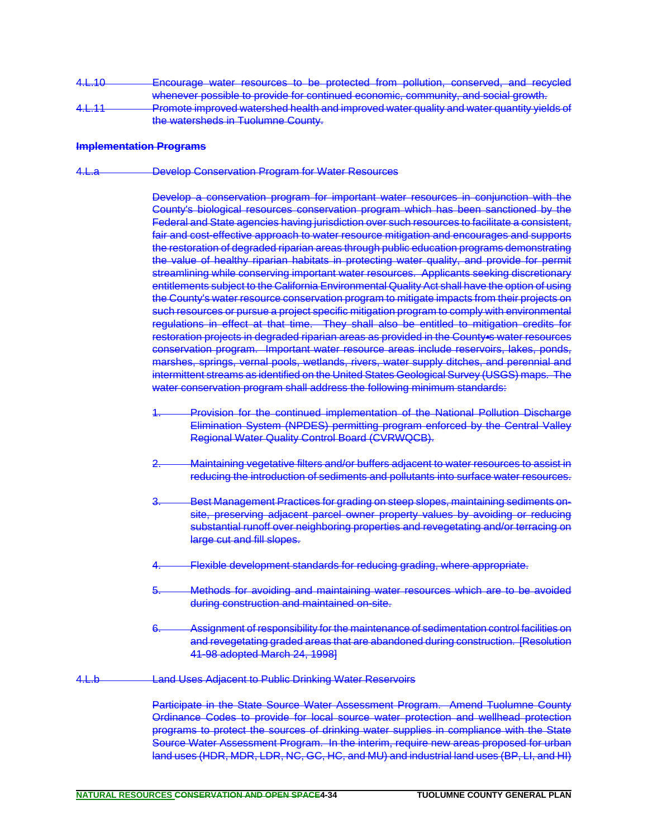4.L.10 **Encourage water resources to be protected from pollution, conserved, and recycled** whenever possible to provide for continued economic, community, and social growth. 4.L.11 Promote improved watershed health and improved water quality and water quantity yields of the watersheds in Tuolumne County.

#### **Implementation Programs**

4.L.a Develop Conservation Program for Water Resources

Develop a conservation program for important water resources in conjunction with the County's biological resources conservation program which has been sanctioned by the Federal and State agencies having jurisdiction over such resources to facilitate a consistent, fair and cost-effective approach to water resource mitigation and encourages and supports the restoration of degraded riparian areas through public education programs demonstrating the value of healthy riparian habitats in protecting water quality, and provide for permit streamlining while conserving important water resources. Applicants seeking discretionary entitlements subject to the California Environmental Quality Act shall have the option of using the County's water resource conservation program to mitigate impacts from their projects on such resources or pursue a project specific mitigation program to comply with environmental regulations in effect at that time. They shall also be entitled to mitigation credits for restoration projects in degraded riparian areas as provided in the County is water resources conservation program. Important water resource areas include reservoirs, lakes, ponds, marshes, springs, vernal pools, wetlands, rivers, water supply ditches, and perennial and intermittent streams as identified on the United States Geological Survey (USGS) maps. The water conservation program shall address the following minimum standards:

- Provision for the continued implementation of the National Pollution Discharge Elimination System (NPDES) permitting program enforced by the Central Valley Regional Water Quality Control Board (CVRWQCB).
- 2. Maintaining vegetative filters and/or buffers adjacent to water resources to assist in reducing the introduction of sediments and pollutants into surface water resources.
- 3. Best Management Practices for grading on steep slopes, maintaining sediments onsite, preserving adjacent parcel owner property values by avoiding or reducing substantial runoff over neighboring properties and revegetating and/or terracing on large cut and fill slopes.
- Flexible development standards for reducing grading, where appropriate.
- Methods for avoiding and maintaining water resources which are to be avoided during construction and maintained on-site.
- 6. Assignment of responsibility for the maintenance of sedimentation control facilities on and revegetating graded areas that are abandoned during construction. [Resolution 41-98 adopted March 24, 1998]
- 4.L.b **Land Uses Adjacent to Public Drinking Water Reservoirs**

Participate in the State Source Water Assessment Program. Amend Tuolumne County Ordinance Codes to provide for local source water protection and wellhead protection programs to protect the sources of drinking water supplies in compliance with the State Source Water Assessment Program. In the interim, require new areas proposed for urban land uses (HDR, MDR, LDR, NC, GC, HC, and MU) and industrial land uses (BP, LI, and HI)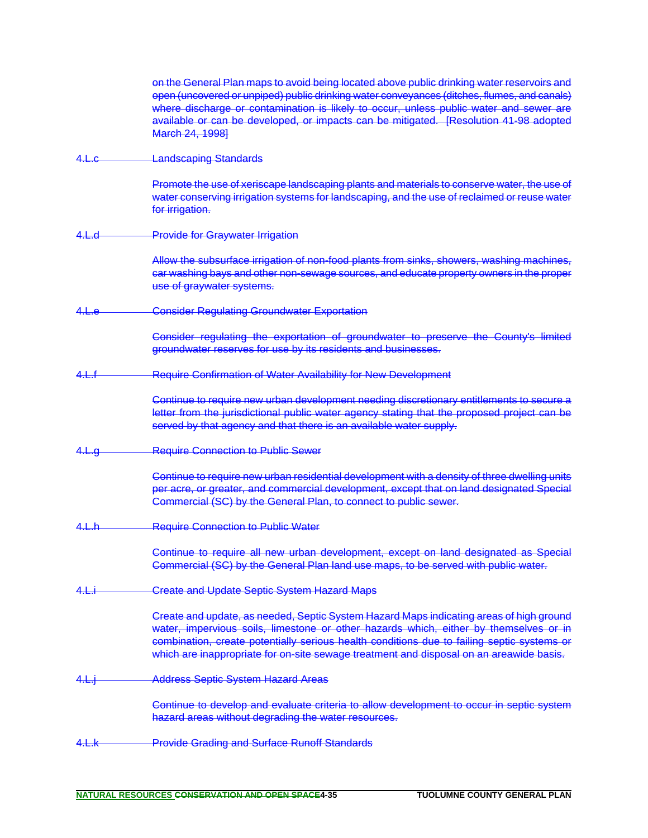|             | on the General Plan maps to avoid being located above public drinking water reservoirs and<br>open (uncovered or unpiped) public drinking water conveyances (ditches, flumes, and canals)<br>where discharge or contamination is likely to occur, unless public water and sewer are<br>available or can be developed, or impacts can be mitigated. [Resolution 41-98 adopted<br>March 24, 1998] |
|-------------|-------------------------------------------------------------------------------------------------------------------------------------------------------------------------------------------------------------------------------------------------------------------------------------------------------------------------------------------------------------------------------------------------|
| <u>4. е</u> | <b>Landscaping Standards</b>                                                                                                                                                                                                                                                                                                                                                                    |
|             | Promote the use of xeriscape landscaping plants and materials to conserve water, the use of<br>water conserving irrigation systems for landscaping, and the use of reclaimed or reuse water<br>for irrigation.                                                                                                                                                                                  |
| 4.L.d       | <b>Provide for Graywater Irrigation</b>                                                                                                                                                                                                                                                                                                                                                         |
|             | Allow the subsurface irrigation of non-food plants from sinks, showers, washing machines,<br>car washing bays and other non-sewage sources, and educate property owners in the proper<br>use of graywater systems.                                                                                                                                                                              |
| 4.L.e       | <b>Consider Regulating Groundwater Exportation</b>                                                                                                                                                                                                                                                                                                                                              |
|             | Consider regulating the exportation of groundwater to preserve the County's limited<br>groundwater reserves for use by its residents and businesses.                                                                                                                                                                                                                                            |
| 4.L.f       | <b>Require Confirmation of Water Availability for New Development</b>                                                                                                                                                                                                                                                                                                                           |
|             | Continue to require new urban development needing discretionary entitlements to secure a<br>letter from the jurisdictional public water agency stating that the proposed project can be<br>served by that agency and that there is an available water supply.                                                                                                                                   |
| 4. L.g      | <b>Require Connection to Public Sewer</b>                                                                                                                                                                                                                                                                                                                                                       |
|             | Continue to require new urban residential development with a density of three dwelling units<br>per acre, or greater, and commercial development, except that on land designated Special<br>Commercial (SC) by the General Plan, to connect to public sewer.                                                                                                                                    |
| 4.1.6       | <b>Require Connection to Public Water</b>                                                                                                                                                                                                                                                                                                                                                       |
|             | Continue to require all new urban development, except on land designated as Special<br>Commercial (SC) by the General Plan land use maps, to be served with public water.                                                                                                                                                                                                                       |
| 4.L.i       | <b>Create and Update Septic System Hazard Maps</b>                                                                                                                                                                                                                                                                                                                                              |
|             | Greate and update, as needed, Septic System Hazard Maps indicating areas of high ground<br>water, impervious soils, limestone or other hazards which, either by themselves or in<br>combination, create potentially serious health conditions due to failing septic systems or<br>which are inappropriate for on-site sewage treatment and disposal on an areawide basis.                       |
| 4.L.        | <b>Address Septic System Hazard Areas</b>                                                                                                                                                                                                                                                                                                                                                       |
|             | Continue to develop and evaluate criteria to allow development to occur in septic system<br>hazard areas without degrading the water resources.                                                                                                                                                                                                                                                 |
| 4.L.k       | <b>Provide Grading and Surface Runoff Standards</b>                                                                                                                                                                                                                                                                                                                                             |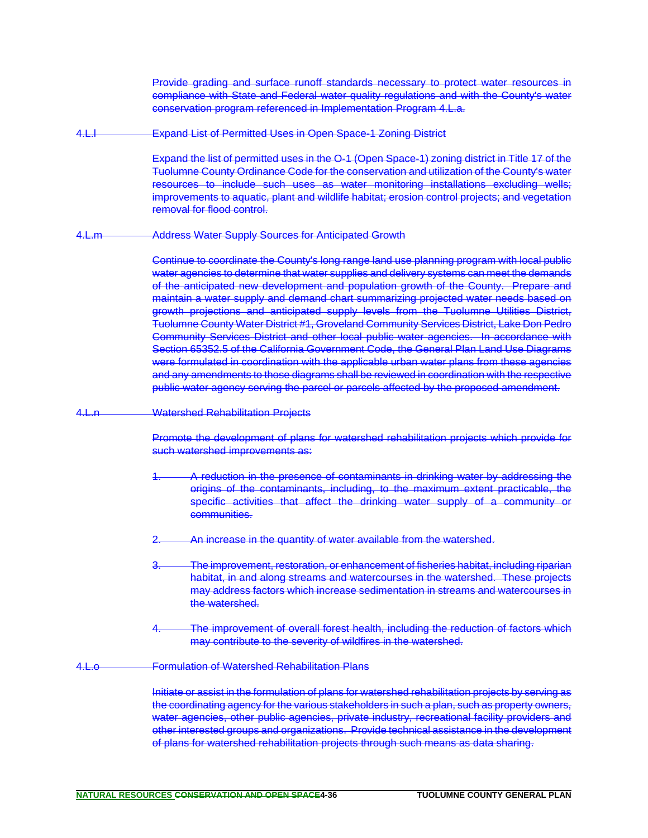Provide grading and surface runoff standards necessary to protect water resources in compliance with State and Federal water quality regulations and with the County's water conservation program referenced in Implementation Program 4.L.a.

4.L.l Expand List of Permitted Uses in Open Space-1 Zoning District

Expand the list of permitted uses in the O-1 (Open Space-1) zoning district in Title 17 of the Tuolumne County Ordinance Code for the conservation and utilization of the County's water resources to include such uses as water monitoring installations excluding wells; improvements to aquatic, plant and wildlife habitat; erosion control projects; and vegetation removal for flood control.

4.L.m Address Water Supply Sources for Anticipated Growth

Continue to coordinate the County's long range land use planning program with local public water agencies to determine that water supplies and delivery systems can meet the demands of the anticipated new development and population growth of the County. Prepare and maintain a water supply and demand chart summarizing projected water needs based on growth projections and anticipated supply levels from the Tuolumne Utilities District, Tuolumne County Water District #1, Groveland Community Services District, Lake Don Pedro Community Services District and other local public water agencies. In accordance with Section 65352.5 of the California Government Code, the General Plan Land Use Diagrams were formulated in coordination with the applicable urban water plans from these agencies and any amendments to those diagrams shall be reviewed in coordination with the respective public water agency serving the parcel or parcels affected by the proposed amendment.

4.L.n Watershed Rehabilitation Projects

Promote the development of plans for watershed rehabilitation projects which provide for such watershed improvements as:

- A reduction in the presence of contaminants in drinking water by addressing the origins of the contaminants, including, to the maximum extent practicable, the specific activities that affect the drinking water supply of a community or communities.
- An increase in the quantity of water available from the watershed.
- The improvement, restoration, or enhancement of fisheries habitat, including riparian habitat, in and along streams and watercourses in the watershed. These projects may address factors which increase sedimentation in streams and watercourses in the watershed.
- The improvement of overall forest health, including the reduction of factors which may contribute to the severity of wildfires in the watershed.
- 4.L.o Formulation of Watershed Rehabilitation Plans

Initiate or assist in the formulation of plans for watershed rehabilitation projects by serving as the coordinating agency for the various stakeholders in such a plan, such as property owners, water agencies, other public agencies, private industry, recreational facility providers and other interested groups and organizations. Provide technical assistance in the development of plans for watershed rehabilitation projects through such means as data sharing.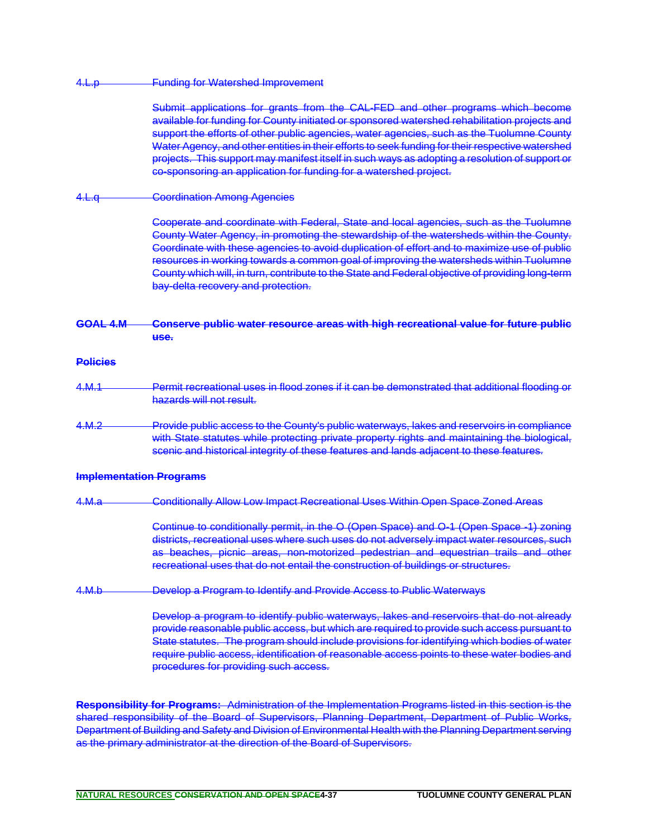#### 4.L.p **Funding for Watershed Improvement**

Submit applications for grants from the CAL-FED and other programs which become available for funding for County initiated or sponsored watershed rehabilitation projects and support the efforts of other public agencies, water agencies, such as the Tuolumne County Water Agency, and other entities in their efforts to seek funding for their respective watershed projects. This support may manifest itself in such ways as adopting a resolution of support or co-sponsoring an application for funding for a watershed project.

4.L.q **Coordination Among Agencies** 

Cooperate and coordinate with Federal, State and local agencies, such as the Tuolumne County Water Agency, in promoting the stewardship of the watersheds within the County. Coordinate with these agencies to avoid duplication of effort and to maximize use of public resources in working towards a common goal of improving the watersheds within Tuolumne County which will, in turn, contribute to the State and Federal objective of providing long-term bay-delta recovery and protection.

#### **GOAL 4.M Conserve public water resource areas with high recreational value for future public use.**

#### **Policies**

- 4.M.1 **Permit recreational uses in flood zones if it can be demonstrated that additional flooding or** hazards will not result.
- 4.M.2 Provide public access to the County's public waterways, lakes and reservoirs in compliance with State statutes while protecting private property rights and maintaining the biological, scenic and historical integrity of these features and lands adjacent to these features.

#### **Implementation Programs**

4.M.a Conditionally Allow Low Impact Recreational Uses Within Open Space Zoned Areas

Continue to conditionally permit, in the O (Open Space) and O-1 (Open Space -1) zoning districts, recreational uses where such uses do not adversely impact water resources, such as beaches, picnic areas, non-motorized pedestrian and equestrian trails and other recreational uses that do not entail the construction of buildings or structures.

4.M.b Develop a Program to Identify and Provide Access to Public Waterways

Develop a program to identify public waterways, lakes and reservoirs that do not already provide reasonable public access, but which are required to provide such access pursuant to State statutes. The program should include provisions for identifying which bodies of water require public access, identification of reasonable access points to these water bodies and procedures for providing such access.

**Responsibility for Programs:** Administration of the Implementation Programs listed in this section is the shared responsibility of the Board of Supervisors, Planning Department, Department of Public Works, Department of Building and Safety and Division of Environmental Health with the Planning Department serving as the primary administrator at the direction of the Board of Supervisors.